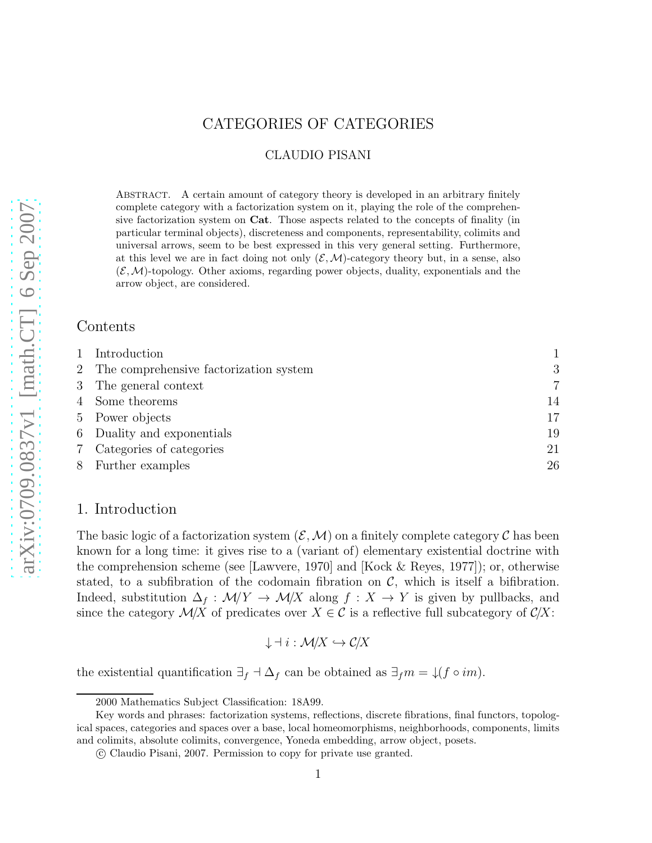# CATEGORIES OF CATEGORIES

## CLAUDIO PISANI

ABSTRACT. A certain amount of category theory is developed in an arbitrary finitely complete category with a factorization system on it, playing the role of the comprehensive factorization system on Cat. Those aspects related to the concepts of finality (in particular terminal objects), discreteness and components, representability, colimits and universal arrows, seem to be best expressed in this very general setting. Furthermore, at this level we are in fact doing not only  $(\mathcal{E}, \mathcal{M})$ -category theory but, in a sense, also  $(\mathcal{E}, \mathcal{M})$ -topology. Other axioms, regarding power objects, duality, exponentials and the arrow object, are considered.

### Contents

| 1 Introduction                           |                |
|------------------------------------------|----------------|
| 2 The comprehensive factorization system | 3              |
| 3 The general context                    | $\overline{7}$ |
| 4 Some theorems                          | 14             |
| 5 Power objects                          | 17             |
| 6 Duality and exponentials               | 19             |
| 7 Categories of categories               | 21             |
| 8 Further examples                       | 26             |

## 1. Introduction

The basic logic of a factorization system  $(\mathcal{E}, \mathcal{M})$  on a finitely complete category  $\mathcal C$  has been known for a long time: it gives rise to a (variant of) elementary existential doctrine with the comprehension scheme (see [Lawvere, 1970] and [Kock & Reyes, 1977]); or, otherwise stated, to a subfibration of the codomain fibration on  $\mathcal{C}$ , which is itself a bifibration. Indeed, substitution  $\Delta_f : \mathcal{M}/Y \to \mathcal{M}/X$  along  $f : X \to Y$  is given by pullbacks, and since the category  $\mathcal{M}/X$  of predicates over  $X \in \mathcal{C}$  is a reflective full subcategory of  $\mathcal{C}/X$ :

$$
\downarrow \dashv i: \mathcal{M}/X \hookrightarrow \mathcal{C}/X
$$

the existential quantification  $\exists_f \dashv \Delta_f$  can be obtained as  $\exists_f m = \downarrow (f \circ im)$ .

<sup>2000</sup> Mathematics Subject Classification: 18A99.

Key words and phrases: factorization systems, reflections, discrete fibrations, final functors, topological spaces, categories and spaces over a base, local homeomorphisms, neighborhoods, components, limits and colimits, absolute colimits, convergence, Yoneda embedding, arrow object, posets.

c Claudio Pisani, 2007. Permission to copy for private use granted.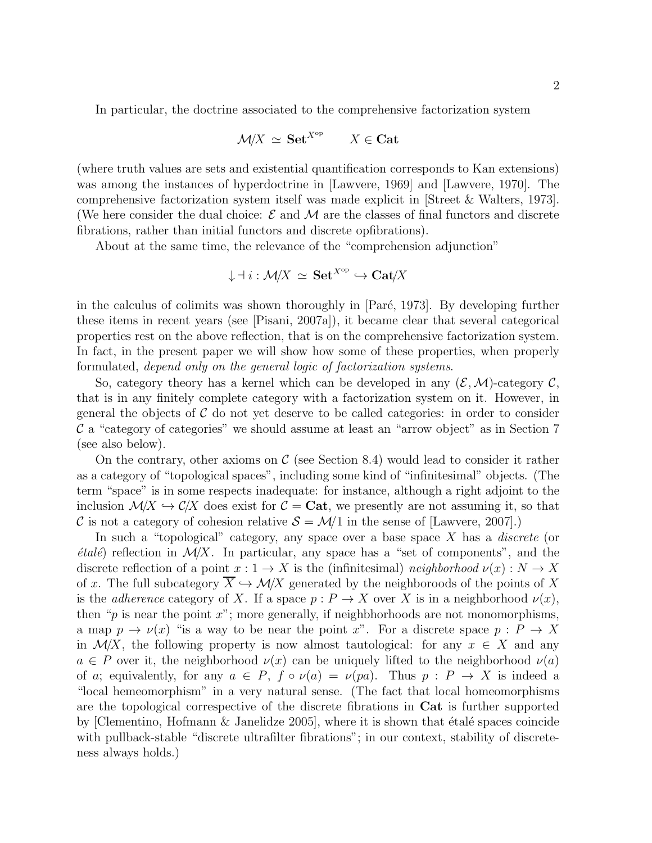In particular, the doctrine associated to the comprehensive factorization system

$$
\mathcal{M}/X \simeq \mathbf{Set}^{X^{\mathrm{op}}} \qquad X \in \mathbf{Cat}
$$

(where truth values are sets and existential quantification corresponds to Kan extensions) was among the instances of hyperdoctrine in [Lawvere, 1969] and [Lawvere, 1970]. The comprehensive factorization system itself was made explicit in [Street & Walters, 1973]. (We here consider the dual choice:  $\mathcal E$  and  $\mathcal M$  are the classes of final functors and discrete fibrations, rather than initial functors and discrete opfibrations).

About at the same time, the relevance of the "comprehension adjunction"

$$
\downarrow \dashv i: {\mathcal M}/X \ \simeq \ {\bf Set}^{X^{\rm op}} \hookrightarrow {\bf Cat}/X
$$

in the calculus of colimits was shown thoroughly in  $\left[ Par\acute{e}, 1973 \right]$ . By developing further these items in recent years (see [Pisani, 2007a]), it became clear that several categorical properties rest on the above reflection, that is on the comprehensive factorization system. In fact, in the present paper we will show how some of these properties, when properly formulated, depend only on the general logic of factorization systems.

So, category theory has a kernel which can be developed in any  $(\mathcal{E}, \mathcal{M})$ -category  $\mathcal{C}$ , that is in any finitely complete category with a factorization system on it. However, in general the objects of  $\mathcal C$  do not yet deserve to be called categories: in order to consider  $\mathcal C$  a "category of categories" we should assume at least an "arrow object" as in Section 7 (see also below).

On the contrary, other axioms on  $\mathcal C$  (see Section 8.4) would lead to consider it rather as a category of "topological spaces", including some kind of "infinitesimal" objects. (The term "space" is in some respects inadequate: for instance, although a right adjoint to the inclusion  $\mathcal{M}/X \hookrightarrow \mathcal{C}/X$  does exist for  $\mathcal{C} = \mathbf{Cat}$ , we presently are not assuming it, so that C is not a category of cohesion relative  $S = \mathcal{M}/1$  in the sense of [Lawvere, 2007].)

In such a "topological" category, any space over a base space  $X$  has a *discrete* (or *étalé*) reflection in  $\mathcal{M}/X$ . In particular, any space has a "set of components", and the discrete reflection of a point  $x: 1 \to X$  is the (infinitesimal) neighborhood  $\nu(x): N \to X$ of x. The full subcategory  $\overline{X} \hookrightarrow \mathcal{M}/X$  generated by the neighboroods of the points of X is the *adherence* category of X. If a space  $p : P \to X$  over X is in a neighborhood  $\nu(x)$ , then " $p$  is near the point  $x$ "; more generally, if neighbhorhoods are not monomorphisms, a map  $p \to \nu(x)$  "is a way to be near the point x". For a discrete space  $p : P \to X$ in  $\mathcal{M}/X$ , the following property is now almost tautological: for any  $x \in X$  and any  $a \in P$  over it, the neighborhood  $\nu(x)$  can be uniquely lifted to the neighborhood  $\nu(a)$ of a; equivalently, for any  $a \in P$ ,  $f \circ \nu(a) = \nu(pa)$ . Thus  $p : P \rightarrow X$  is indeed a "local hemeomorphism" in a very natural sense. (The fact that local homeomorphisms are the topological correspective of the discrete fibrations in Cat is further supported by [Clementino, Hofmann  $\&$  Janelidze 2005], where it is shown that étalé spaces coincide with pullback-stable "discrete ultrafilter fibrations"; in our context, stability of discreteness always holds.)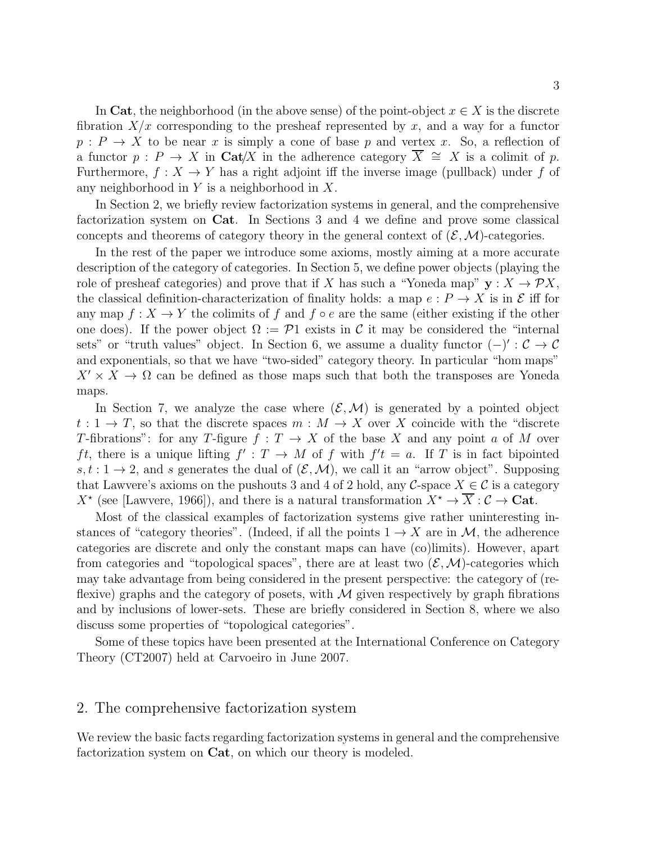In Cat, the neighborhood (in the above sense) of the point-object  $x \in X$  is the discrete fibration  $X/x$  corresponding to the presheaf represented by x, and a way for a functor  $p: P \to X$  to be near x is simply a cone of base p and vertex x. So, a reflection of a functor  $p : P \to X$  in Cat/X in the adherence category  $\overline{X} \cong X$  is a colimit of p. Furthermore,  $f: X \to Y$  has a right adjoint iff the inverse image (pullback) under f of any neighborhood in  $Y$  is a neighborhood in  $X$ .

In Section 2, we briefly review factorization systems in general, and the comprehensive factorization system on Cat. In Sections 3 and 4 we define and prove some classical concepts and theorems of category theory in the general context of  $(\mathcal{E}, \mathcal{M})$ -categories.

In the rest of the paper we introduce some axioms, mostly aiming at a more accurate description of the category of categories. In Section 5, we define power objects (playing the role of presheaf categories) and prove that if X has such a "Yoneda map"  $y : X \to \mathcal{P}X$ , the classical definition-characterization of finality holds: a map  $e: P \to X$  is in  $\mathcal E$  iff for any map  $f: X \to Y$  the colimits of f and  $f \circ e$  are the same (either existing if the other one does). If the power object  $\Omega := \mathcal{P}1$  exists in C it may be considered the "internal sets" or "truth values" object. In Section 6, we assume a duality functor  $(-)' : \mathcal{C} \to \mathcal{C}$ and exponentials, so that we have "two-sided" category theory. In particular "hom maps"  $X' \times X \to \Omega$  can be defined as those maps such that both the transposes are Yoneda maps.

In Section 7, we analyze the case where  $(\mathcal{E}, \mathcal{M})$  is generated by a pointed object  $t: 1 \to T$ , so that the discrete spaces  $m: M \to X$  over X coincide with the "discrete" T-fibrations": for any T-figure  $f: T \to X$  of the base X and any point a of M over ft, there is a unique lifting  $f': T \to M$  of f with  $f't = a$ . If T is in fact bipointed  $s, t : 1 \to 2$ , and s generates the dual of  $(\mathcal{E}, \mathcal{M})$ , we call it an "arrow object". Supposing that Lawvere's axioms on the pushouts 3 and 4 of 2 hold, any C-space  $X \in \mathcal{C}$  is a category  $X^*$  (see [Lawvere, 1966]), and there is a natural transformation  $X^* \to \overline{X} : \mathcal{C} \to \mathbf{Cat}$ .

Most of the classical examples of factorization systems give rather uninteresting instances of "category theories". (Indeed, if all the points  $1 \rightarrow X$  are in M, the adherence categories are discrete and only the constant maps can have (co)limits). However, apart from categories and "topological spaces", there are at least two  $(\mathcal{E}, \mathcal{M})$ -categories which may take advantage from being considered in the present perspective: the category of (reflexive) graphs and the category of posets, with  $\mathcal M$  given respectively by graph fibrations and by inclusions of lower-sets. These are briefly considered in Section 8, where we also discuss some properties of "topological categories".

Some of these topics have been presented at the International Conference on Category Theory (CT2007) held at Carvoeiro in June 2007.

### 2. The comprehensive factorization system

We review the basic facts regarding factorization systems in general and the comprehensive factorization system on Cat, on which our theory is modeled.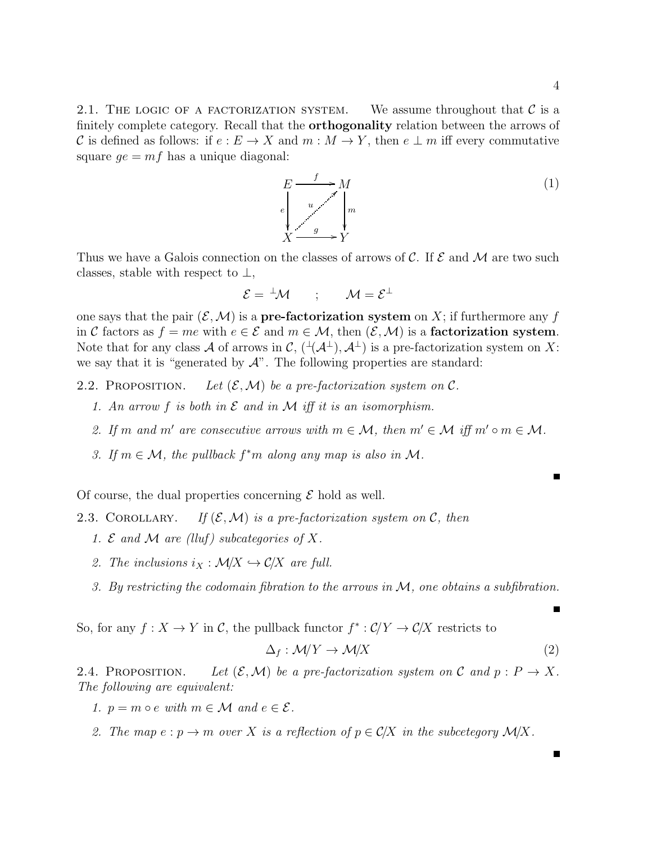2.1. THE LOGIC OF A FACTORIZATION SYSTEM. We assume throughout that  $\mathcal C$  is a finitely complete category. Recall that the **orthogonality** relation between the arrows of C is defined as follows: if  $e : E \to X$  and  $m : M \to Y$ , then  $e \perp m$  iff every commutative square  $qe = mf$  has a unique diagonal:

> $E \xrightarrow{f}$ e ľ M m  $\overline{\phantom{a}}$  $\boldsymbol{X}$ g / u  $\cdot$ <sup> $\cdot$ </sup> Y (1)

Thus we have a Galois connection on the classes of arrows of  $\mathcal{C}$ . If  $\mathcal{E}$  and  $\mathcal{M}$  are two such classes, stable with respect to  $\perp$ ,

$$
\mathcal{E} = {}^{\perp} \mathcal{M} \qquad ; \qquad \mathcal{M} = \mathcal{E}^{\perp}
$$

one says that the pair  $(\mathcal{E},\mathcal{M})$  is a **pre-factorization system** on X; if furthermore any f in C factors as  $f = me$  with  $e \in \mathcal{E}$  and  $m \in \mathcal{M}$ , then  $(\mathcal{E}, \mathcal{M})$  is a **factorization system**. Note that for any class A of arrows in C,  $(\mathcal{A}^{\perp}), \mathcal{A}^{\perp}$  is a pre-factorization system on X: we say that it is "generated by  $\mathcal{A}$ ". The following properties are standard:

2.2. PROPOSITION. Let  $(\mathcal{E}, \mathcal{M})$  be a pre-factorization system on  $\mathcal{C}$ .

- 1. An arrow f is both in  $\mathcal E$  and in  $\mathcal M$  iff it is an isomorphism.
- 2. If m and m' are consecutive arrows with  $m \in \mathcal{M}$ , then  $m' \in \mathcal{M}$  iff  $m' \circ m \in \mathcal{M}$ .
- 3. If  $m \in \mathcal{M}$ , the pullback  $f^*m$  along any map is also in  $\mathcal{M}$ .

Of course, the dual properties concerning  $\mathcal E$  hold as well.

2.3. COROLLARY. If  $(\mathcal{E}, \mathcal{M})$  is a pre-factorization system on C, then

- 1. E and M are (lluf) subcategories of X.
- 2. The inclusions  $i_X : \mathcal{M}/X \hookrightarrow \mathcal{C}/X$  are full.
- 3. By restricting the codomain fibration to the arrows in M, one obtains a subfibration.

So, for any  $f: X \to Y$  in C, the pullback functor  $f^* : C/Y \to C/X$  restricts to

$$
\Delta_f : \mathcal{M}/Y \to \mathcal{M}/X \tag{2}
$$

2.4. PROPOSITION. Let  $(\mathcal{E}, \mathcal{M})$  be a pre-factorization system on C and  $p : P \to X$ . The following are equivalent:

1.  $p = m \circ e$  with  $m \in \mathcal{M}$  and  $e \in \mathcal{E}$ .

2. The map  $e : p \to m$  over X is a reflection of  $p \in C/X$  in the subcetegory  $\mathcal{M}/X$ .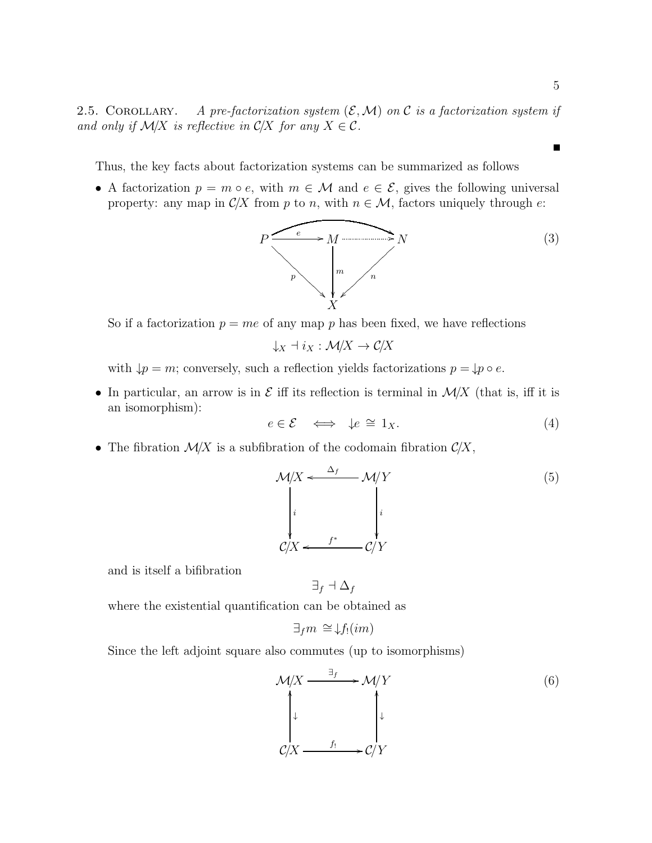$\blacksquare$ 

2.5. COROLLARY. A pre-factorization system  $(\mathcal{E}, \mathcal{M})$  on C is a factorization system if and only if  $\mathcal{M}/X$  is reflective in  $\mathcal{C}/X$  for any  $X \in \mathcal{C}$ .

Thus, the key facts about factorization systems can be summarized as follows

• A factorization  $p = m \circ e$ , with  $m \in \mathcal{M}$  and  $e \in \mathcal{E}$ , gives the following universal property: any map in  $\mathcal{C}/X$  from p to n, with  $n \in \mathcal{M}$ , factors uniquely through e:



So if a factorization  $p = me$  of any map p has been fixed, we have reflections

$$
\downarrow_X \dashv i_X: \mathcal{M}/X \to \mathcal{C}/X
$$

with  $\downarrow p = m$ ; conversely, such a reflection yields factorizations  $p = \downarrow p \circ e$ .

• In particular, an arrow is in  $\mathcal E$  iff its reflection is terminal in  $\mathcal M/X$  (that is, iff it is an isomorphism):

$$
e \in \mathcal{E} \iff \downarrow e \cong 1_X. \tag{4}
$$

• The fibration  $\mathcal{M}/X$  is a subfibration of the codomain fibration  $\mathcal{C}/X$ ,

$$
\mathcal{M}/X \leftarrow \frac{\Delta_f}{\begin{array}{c}\Delta_f\\ \downarrow\\ C/X \leftarrow \end{array}} \mathcal{M}/Y
$$
\n
$$
\begin{array}{c}\n\downarrow\\ \downarrow\\ i\n\end{array}
$$
\n
$$
C/Y \leftarrow \begin{array}{c}\n\downarrow\\ C/Y\n\end{array}
$$
\n(5)

and is itself a bifibration

$$
\exists_f \dashv \Delta_f
$$

where the existential quantification can be obtained as

$$
\exists_f m \cong \downarrow f_!(im)
$$

Since the left adjoint square also commutes (up to isomorphisms)

$$
\mathcal{M}/X \xrightarrow{\exists_{f}} \mathcal{M}/Y
$$
\n
$$
\downarrow \qquad \qquad \downarrow
$$
\n
$$
\mathcal{C}/X \xrightarrow{f_1} \mathcal{C}/Y
$$
\n(6)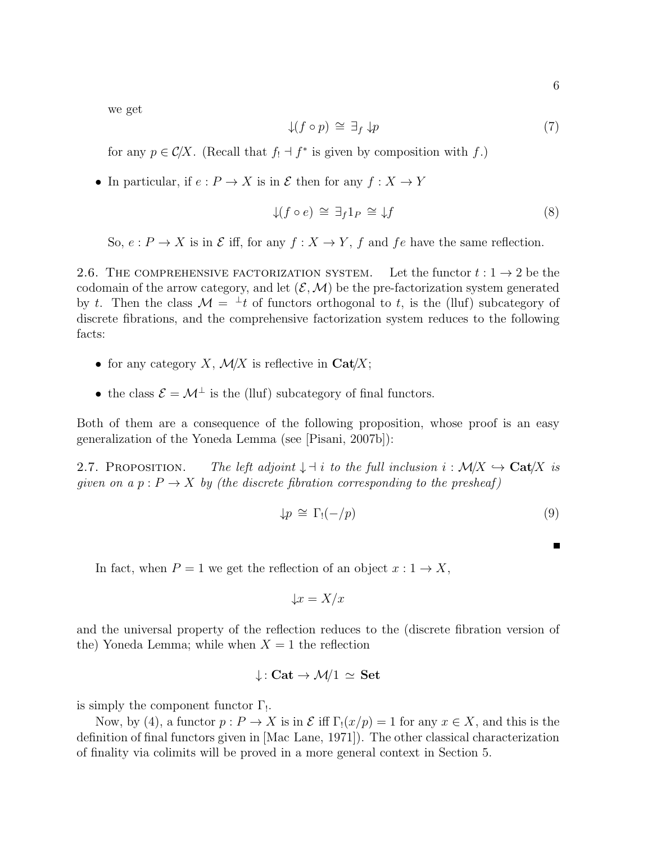we get

$$
\downarrow (f \circ p) \cong \exists_f \downarrow p \tag{7}
$$

for any  $p \in C/X$ . (Recall that  $f_! \dashv f^*$  is given by composition with  $f$ .)

• In particular, if  $e: P \to X$  is in  $\mathcal E$  then for any  $f: X \to Y$ 

$$
\downarrow (f \circ e) \cong \exists_f 1_P \cong \downarrow f \tag{8}
$$

So,  $e: P \to X$  is in  $\mathcal E$  iff, for any  $f: X \to Y$ , f and fe have the same reflection.

2.6. THE COMPREHENSIVE FACTORIZATION SYSTEM. Let the functor  $t: 1 \rightarrow 2$  be the codomain of the arrow category, and let  $(\mathcal{E}, \mathcal{M})$  be the pre-factorization system generated by t. Then the class  $\mathcal{M} = {}^{\perp}t$  of functors orthogonal to t, is the (lluf) subcategory of discrete fibrations, and the comprehensive factorization system reduces to the following facts:

- for any category X,  $\mathcal{M}/X$  is reflective in Cat/X;
- the class  $\mathcal{E} = \mathcal{M}^{\perp}$  is the (lluf) subcategory of final functors.

Both of them are a consequence of the following proposition, whose proof is an easy generalization of the Yoneda Lemma (see [Pisani, 2007b]):

2.7. PROPOSITION. The left adjoint  $\downarrow \dashv i$  to the full inclusion  $i : \mathcal{M}/X \hookrightarrow \mathbf{Cat}/X$  is given on a  $p : P \to X$  by (the discrete fibration corresponding to the presheaf)

$$
\downarrow p \cong \Gamma_!(-/p) \tag{9}
$$

In fact, when  $P = 1$  we get the reflection of an object  $x : 1 \rightarrow X$ ,

$$
\downarrow x = X/x
$$

and the universal property of the reflection reduces to the (discrete fibration version of the) Yoneda Lemma; while when  $X = 1$  the reflection

$$
\downarrow:\mathbf{Cat}\rightarrow \mathcal{M}/1\,\simeq\,\mathbf{Set}
$$

is simply the component functor  $\Gamma_!$ .

Now, by (4), a functor  $p: P \to X$  is in  $\mathcal E$  iff  $\Gamma_1(x/p) = 1$  for any  $x \in X$ , and this is the definition of final functors given in [Mac Lane, 1971]). The other classical characterization of finality via colimits will be proved in a more general context in Section 5.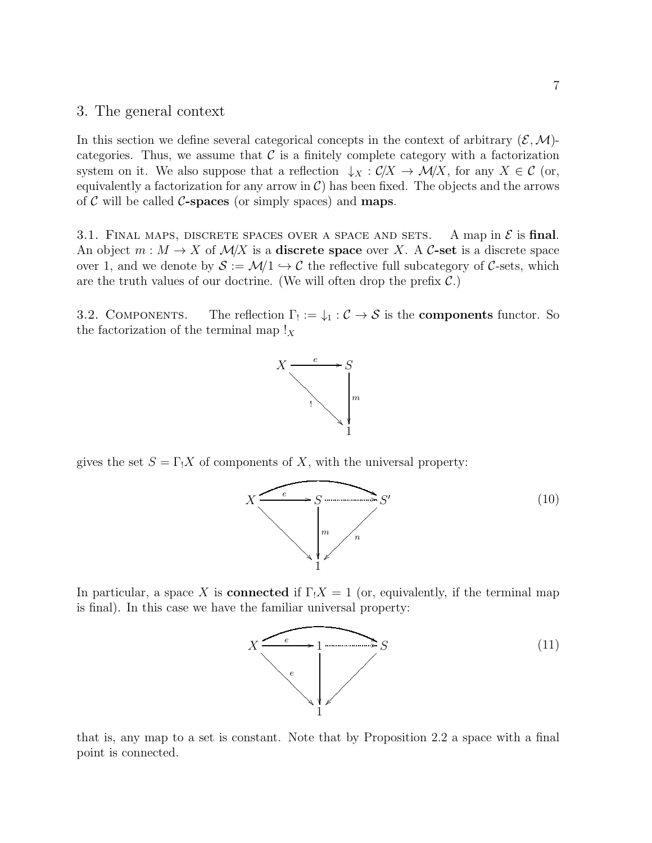### 3. The general context

In this section we define several categorical concepts in the context of arbitrary  $(\mathcal{E},\mathcal{M})$ categories. Thus, we assume that  $\mathcal C$  is a finitely complete category with a factorization system on it. We also suppose that a reflection  $\downarrow_X : C/X \to \mathcal{M}/X$ , for any  $X \in \mathcal{C}$  (or, equivalently a factorization for any arrow in  $\mathcal{C}$ ) has been fixed. The objects and the arrows of  $\mathcal C$  will be called  $\mathcal C$ -spaces (or simply spaces) and **maps**.

3.1. FINAL MAPS, DISCRETE SPACES OVER A SPACE AND SETS. A map in  $\mathcal E$  is final. An object  $m : M \to X$  of  $M/X$  is a **discrete space** over X. A C-set is a discrete space over 1, and we denote by  $S := \mathcal{M}/1 \hookrightarrow \mathcal{C}$  the reflective full subcategory of C-sets, which are the truth values of our doctrine. (We will often drop the prefix  $\mathcal{C}$ .)

3.2. COMPONENTS. The reflection  $\Gamma_! := \downarrow_1 : \mathcal{C} \to \mathcal{S}$  is the **components** functor. So the factorization of the terminal map  $\mathbf{x}$ 



gives the set  $S = \Gamma_1 X$  of components of X, with the universal property:



In particular, a space X is **connected** if  $\Gamma_1 X = 1$  (or, equivalently, if the terminal map is final). In this case we have the familiar universal property:



that is, any map to a set is constant. Note that by Proposition 2.2 a space with a final point is connected.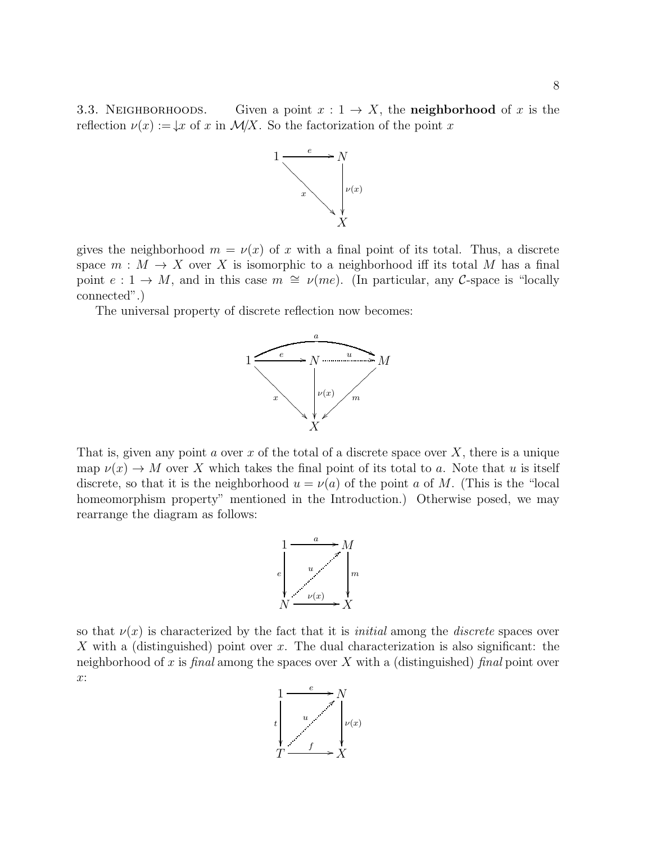3.3. NEIGHBORHOODS. Given a point  $x: 1 \rightarrow X$ , the **neighborhood** of x is the reflection  $\nu(x) := \n\downarrow x$  of x in  $\mathcal{M}/X$ . So the factorization of the point x



gives the neighborhood  $m = \nu(x)$  of x with a final point of its total. Thus, a discrete space  $m : M \to X$  over X is isomorphic to a neighborhood iff its total M has a final point  $e: 1 \to M$ , and in this case  $m \cong \nu$ (*me*). (In particular, any C-space is "locally connected".)

The universal property of discrete reflection now becomes:



That is, given any point a over x of the total of a discrete space over X, there is a unique map  $\nu(x) \to M$  over X which takes the final point of its total to a. Note that u is itself discrete, so that it is the neighborhood  $u = \nu(a)$  of the point a of M. (This is the "local homeomorphism property" mentioned in the Introduction.) Otherwise posed, we may rearrange the diagram as follows:



so that  $\nu(x)$  is characterized by the fact that it is *initial* among the *discrete* spaces over X with a (distinguished) point over x. The dual characterization is also significant: the neighborhood of x is final among the spaces over X with a (distinguished) final point over  $x:$ 

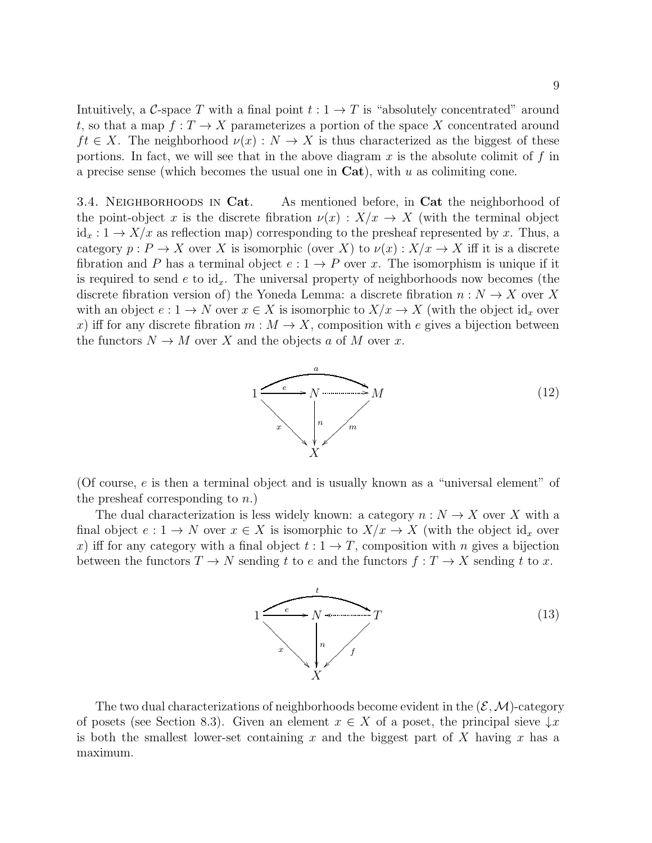Intuitively, a C-space T with a final point  $t: 1 \rightarrow T$  is "absolutely concentrated" around t, so that a map  $f: T \to X$  parameterizes a portion of the space X concentrated around  $ft \in X$ . The neighborhood  $\nu(x): N \to X$  is thus characterized as the biggest of these portions. In fact, we will see that in the above diagram  $x$  is the absolute colimit of  $f$  in a precise sense (which becomes the usual one in  $Cat$ ), with u as colimiting cone.

3.4. NEIGHBORHOODS IN Cat. As mentioned before, in Cat the neighborhood of the point-object x is the discrete fibration  $\nu(x): X/x \to X$  (with the terminal object  $id_x: 1 \to X/x$  as reflection map) corresponding to the presheaf represented by x. Thus, a category  $p : P \to X$  over X is isomorphic (over X) to  $\nu(x) : X/x \to X$  iff it is a discrete fibration and P has a terminal object  $e: 1 \to P$  over x. The isomorphism is unique if it is required to send e to  $\mathrm{id}_x$ . The universal property of neighborhoods now becomes (the discrete fibration version of) the Yoneda Lemma: a discrete fibration  $n: N \to X$  over X with an object  $e: 1 \to N$  over  $x \in X$  is isomorphic to  $X/x \to X$  (with the object  $\mathrm{id}_x$  over x) iff for any discrete fibration  $m : M \to X$ , composition with e gives a bijection between the functors  $N \to M$  over X and the objects a of M over x.



(Of course,  $e$  is then a terminal object and is usually known as a "universal element" of the presheaf corresponding to  $n.$ )

The dual characterization is less widely known: a category  $n: N \to X$  over X with a final object  $e: 1 \to N$  over  $x \in X$  is isomorphic to  $X/x \to X$  (with the object  $\mathrm{id}_x$  over x) iff for any category with a final object  $t: 1 \rightarrow T$ , composition with n gives a bijection between the functors  $T \to N$  sending t to e and the functors  $f : T \to X$  sending t to x.



The two dual characterizations of neighborhoods become evident in the  $(\mathcal{E},\mathcal{M})$ -category of posets (see Section 8.3). Given an element  $x \in X$  of a poset, the principal sieve  $\downarrow x$ is both the smallest lower-set containing x and the biggest part of X having x has a maximum.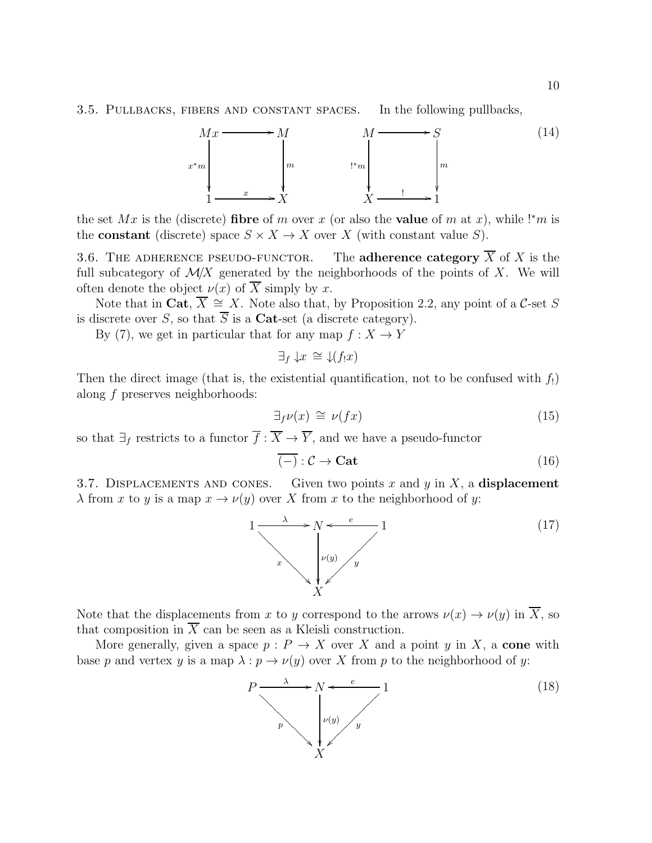#### 3.5. Pullbacks, fibers and constant spaces. In the following pullbacks,



the set Mx is the (discrete) fibre of m over x (or also the value of m at x), while !\*m is the **constant** (discrete) space  $S \times X \to X$  over X (with constant value S).

3.6. THE ADHERENCE PSEUDO-FUNCTOR. The adherence category  $\overline{X}$  of X is the full subcategory of  $\mathcal{M}/X$  generated by the neighborhoods of the points of X. We will often denote the object  $\nu(x)$  of  $\overline{X}$  simply by x.

Note that in Cat,  $\overline{X} \cong X$ . Note also that, by Proposition 2.2, any point of a C-set S is discrete over S, so that  $\overline{S}$  is a **Cat**-set (a discrete category).

By (7), we get in particular that for any map  $f: X \to Y$ 

 $\exists_{f}\downarrow x \cong \downarrow(f_{!}x)$ 

Then the direct image (that is, the existential quantification, not to be confused with  $f_!$ ) along f preserves neighborhoods:

$$
\exists_f \nu(x) \cong \nu(fx) \tag{15}
$$

so that  $\exists_f$  restricts to a functor  $\overline{f} : \overline{X} \to \overline{Y}$ , and we have a pseudo-functor

$$
\overline{(-)} : \mathcal{C} \to \mathbf{Cat} \tag{16}
$$

3.7. DISPLACEMENTS AND CONES. Given two points x and y in X, a displacement  $\lambda$  from x to y is a map  $x \to \nu(y)$  over X from x to the neighborhood of y:



Note that the displacements from x to y correspond to the arrows  $\nu(x) \to \nu(y)$  in  $\overline{X}$ , so that composition in  $\overline{X}$  can be seen as a Kleisli construction.

More generally, given a space  $p : P \to X$  over X and a point y in X, a cone with base p and vertex y is a map  $\lambda : p \to \nu(y)$  over X from p to the neighborhood of y:

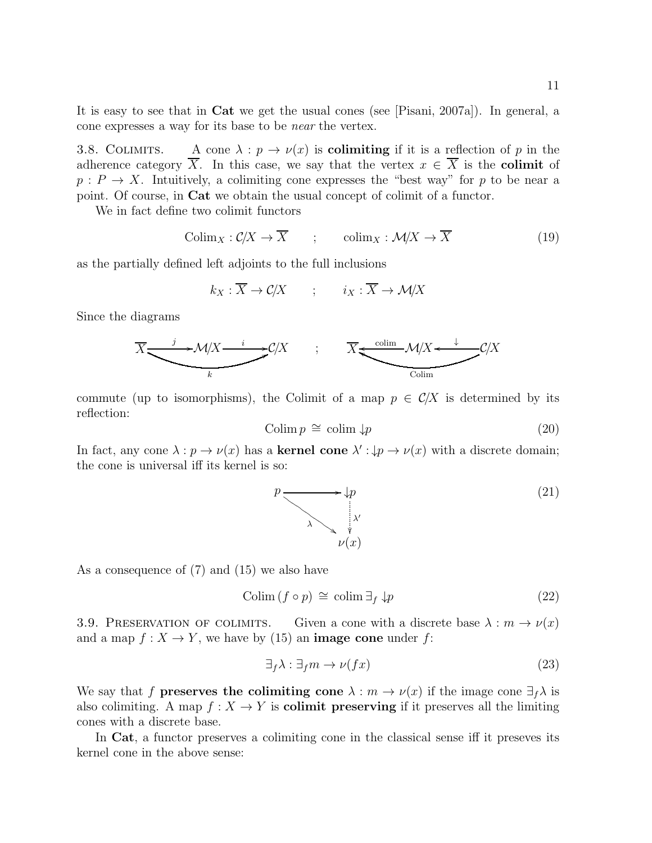It is easy to see that in Cat we get the usual cones (see [Pisani, 2007a]). In general, a cone expresses a way for its base to be near the vertex.

3.8. COLIMITS. A cone  $\lambda : p \to \nu(x)$  is **colimiting** if it is a reflection of p in the adherence category  $\overline{X}$ . In this case, we say that the vertex  $x \in \overline{X}$  is the **colimit** of  $p: P \to X$ . Intuitively, a colimiting cone expresses the "best way" for p to be near a point. Of course, in Cat we obtain the usual concept of colimit of a functor.

We in fact define two colimit functors

$$
Colim_X: C/X \to \overline{X} \qquad ; \qquad colim_X: \mathcal{M}/X \to \overline{X} \tag{19}
$$

as the partially defined left adjoints to the full inclusions

$$
k_X : \overline{X} \to \mathcal{C}/X \qquad ; \qquad i_X : \overline{X} \to \mathcal{M}/X
$$

Since the diagrams



commute (up to isomorphisms), the Colimit of a map  $p \in C/X$  is determined by its reflection:

$$
Colim p \cong colim \downarrow p \tag{20}
$$

In fact, any cone  $\lambda : p \to \nu(x)$  has a **kernel cone**  $\lambda' : \downarrow p \to \nu(x)$  with a discrete domain; the cone is universal iff its kernel is so:



As a consequence of (7) and (15) we also have

$$
Colim (f \circ p) \cong colim \exists_f \downarrow p \tag{22}
$$

3.9. PRESERVATION OF COLIMITS. Given a cone with a discrete base  $\lambda : m \to \nu(x)$ and a map  $f: X \to Y$ , we have by (15) an **image cone** under f:

$$
\exists_f \lambda : \exists_f m \to \nu(fx) \tag{23}
$$

We say that f **preserves the colimiting cone**  $\lambda : m \to \nu(x)$  if the image cone  $\exists_f \lambda$  is also colimiting. A map  $f: X \to Y$  is **colimit preserving** if it preserves all the limiting cones with a discrete base.

In Cat, a functor preserves a colimiting cone in the classical sense iff it preseves its kernel cone in the above sense: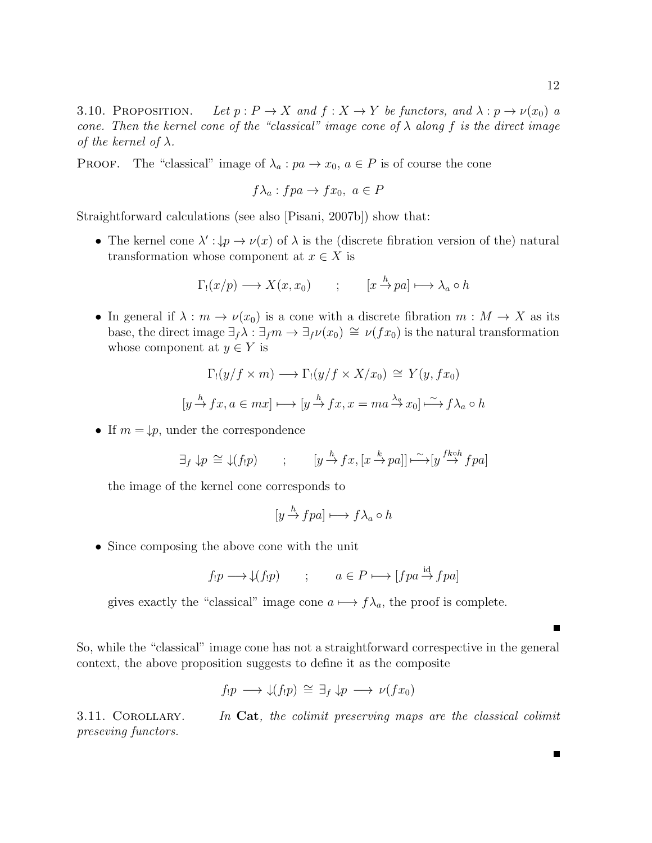3.10. PROPOSITION. Let  $p: P \to X$  and  $f: X \to Y$  be functors, and  $\lambda: p \to \nu(x_0)$  a cone. Then the kernel cone of the "classical" image cone of  $\lambda$  along f is the direct image of the kernel of  $\lambda$ .

PROOF. The "classical" image of  $\lambda_a : pa \to x_0, a \in P$  is of course the cone

$$
f\lambda_a: fpa \to fx_0, \ a \in P
$$

Straightforward calculations (see also [Pisani, 2007b]) show that:

• The kernel cone  $\lambda': \n\downarrow p \to \nu(x)$  of  $\lambda$  is the (discrete fibration version of the) natural transformation whose component at  $x \in X$  is

$$
\Gamma_!(x/p) \longrightarrow X(x, x_0) \qquad ; \qquad [x \xrightarrow{h} pa] \longmapsto \lambda_a \circ h
$$

• In general if  $\lambda : m \to \nu(x_0)$  is a cone with a discrete fibration  $m : M \to X$  as its base, the direct image  $\exists_f \lambda : \exists_f m \rightarrow \exists_f \nu(x_0) \cong \nu(fx_0)$  is the natural transformation whose component at  $y \in Y$  is

$$
\Gamma_!(y/f \times m) \longrightarrow \Gamma_!(y/f \times X/x_0) \cong Y(y, fx_0)
$$
  

$$
[y \xrightarrow{h} fx, a \in mx] \longmapsto [y \xrightarrow{h} fx, x = ma \xrightarrow{\lambda_q} x_0] \xrightarrow{\sim} f \lambda_a \circ h
$$

• If  $m = \downarrow p$ , under the correspondence

$$
\exists_f \downarrow p \cong \downarrow(f_!p) \qquad ; \qquad [y \xrightarrow{h} fx, [x \xrightarrow{k} pa]] \xrightarrow{\sim} [y \xrightarrow{fk \circ h} fpa]
$$

the image of the kernel cone corresponds to

$$
[y \xrightarrow{h} fpa] \longmapsto f\lambda_a \circ h
$$

• Since composing the above cone with the unit

$$
f_!p \longrightarrow \downarrow(f_!p) \qquad ; \qquad a \in P \longmapsto [fpa \stackrel{\text{id}}{\rightarrow} fpa]
$$

gives exactly the "classical" image cone  $a \mapsto f\lambda_a$ , the proof is complete.

So, while the "classical" image cone has not a straightforward correspective in the general context, the above proposition suggests to define it as the composite

$$
f_!p \longrightarrow \mathcal{L}(f_!p) \cong \exists_f \mathcal{L} p \longrightarrow \nu(fx_0)
$$

3.11. COROLLARY. In Cat, the colimit preserving maps are the classical colimit preseving functors.

Е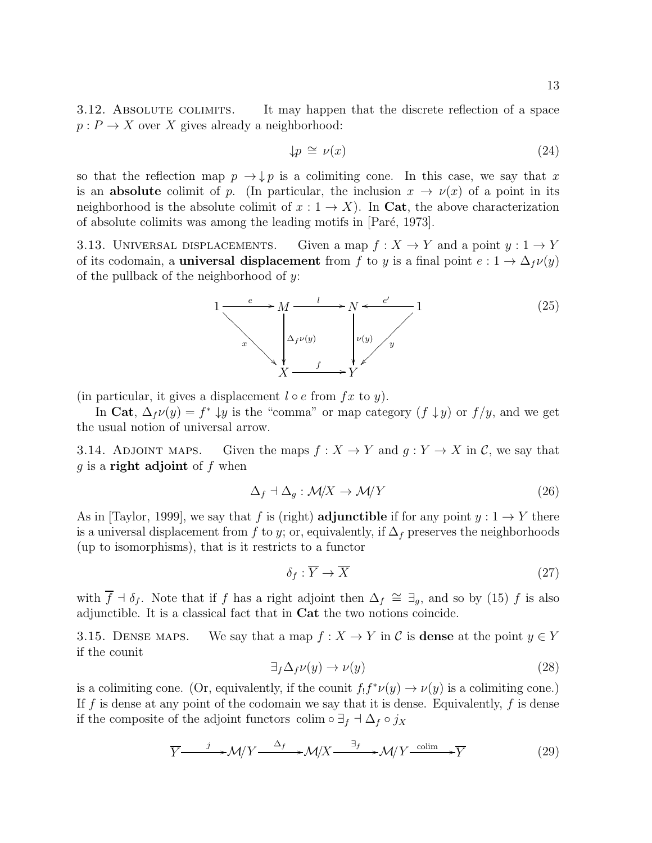3.12. ABSOLUTE COLIMITS. It may happen that the discrete reflection of a space  $p: P \to X$  over X gives already a neighborhood:

$$
\downarrow p \cong \nu(x) \tag{24}
$$

so that the reflection map  $p \to \downarrow p$  is a colimiting cone. In this case, we say that x is an **absolute** colimit of p. (In particular, the inclusion  $x \to \nu(x)$  of a point in its neighborhood is the absolute colimit of  $x: 1 \rightarrow X$ ). In Cat, the above characterization of absolute colimits was among the leading motifs in [Paré, 1973].

3.13. UNIVERSAL DISPLACEMENTS. Given a map  $f : X \to Y$  and a point  $y : 1 \to Y$ of its codomain, a **universal displacement** from f to y is a final point  $e: 1 \to \Delta_f \nu(y)$ of the pullback of the neighborhood of  $y$ :



(in particular, it gives a displacement  $l \circ e$  from  $fx$  to  $y$ ).

In Cat,  $\Delta_f \nu(y) = f^* \downarrow y$  is the "comma" or map category  $(f \downarrow y)$  or  $f/y$ , and we get the usual notion of universal arrow.

3.14. ADJOINT MAPS. Given the maps  $f : X \to Y$  and  $g : Y \to X$  in C, we say that g is a **right adjoint** of  $f$  when

$$
\Delta_f \dashv \Delta_g : \mathcal{M}/X \to \mathcal{M}/Y \tag{26}
$$

As in [Taylor, 1999], we say that f is (right) **adjunctible** if for any point  $y: 1 \rightarrow Y$  there is a universal displacement from f to y; or, equivalently, if  $\Delta_f$  preserves the neighborhoods (up to isomorphisms), that is it restricts to a functor

$$
\delta_f: \overline{Y} \to \overline{X} \tag{27}
$$

with  $\overline{f}$  +  $\delta_f$ . Note that if f has a right adjoint then  $\Delta_f \cong \exists_g$ , and so by (15) f is also adjunctible. It is a classical fact that in Cat the two notions coincide.

3.15. DENSE MAPS. We say that a map  $f : X \to Y$  in C is **dense** at the point  $y \in Y$ if the counit

$$
\exists_f \Delta_f \nu(y) \to \nu(y) \tag{28}
$$

is a colimiting cone. (Or, equivalently, if the counit  $f_1 f^* \nu(y) \to \nu(y)$  is a colimiting cone.) If f is dense at any point of the codomain we say that it is dense. Equivalently, f is dense if the composite of the adjoint functors colim  $\circ \exists_f \dashv \Delta_f \circ j_X$ 

$$
\overline{Y} \longrightarrow \mathcal{M}/Y \longrightarrow \mathcal{M}/X \longrightarrow \mathcal{M}/X \longrightarrow \mathcal{M}/Y \xrightarrow{\text{colim}} \overline{Y}
$$
 (29)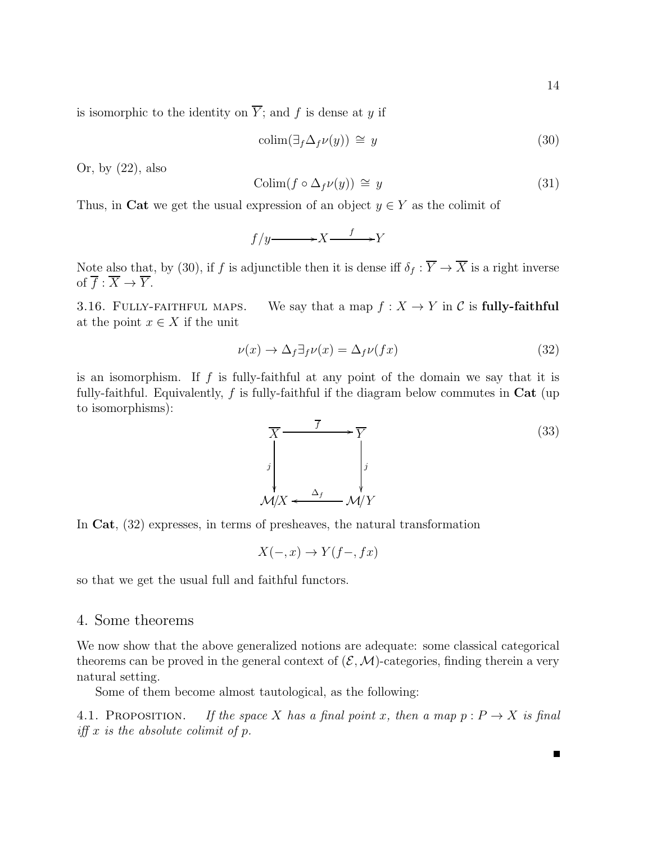is isomorphic to the identity on  $\overline{Y}$ ; and f is dense at y if

$$
\text{colim}(\exists_f \Delta_f \nu(y)) \cong y \tag{30}
$$

Or, by (22), also

$$
Colim(f \circ \Delta_f \nu(y)) \cong y \tag{31}
$$

Thus, in Cat we get the usual expression of an object  $y \in Y$  as the colimit of

$$
f/y \longrightarrow X \xrightarrow{f} Y
$$

Note also that, by (30), if f is adjunctible then it is dense iff  $\delta_f : \overline{Y} \to \overline{X}$  is a right inverse of  $\overline{f} : \overline{X} \to \overline{Y}$ .

3.16. FULLY-FAITHFUL MAPS. We say that a map  $f: X \to Y$  in C is fully-faithful at the point  $x \in X$  if the unit

$$
\nu(x) \to \Delta_f \exists_f \nu(x) = \Delta_f \nu(fx) \tag{32}
$$

is an isomorphism. If  $f$  is fully-faithful at any point of the domain we say that it is fully-faithful. Equivalently,  $f$  is fully-faithful if the diagram below commutes in  $Cat$  (up to isomorphisms):



In Cat, (32) expresses, in terms of presheaves, the natural transformation

$$
X(-,x) \to Y(f-,fx)
$$

so that we get the usual full and faithful functors.

# 4. Some theorems

We now show that the above generalized notions are adequate: some classical categorical theorems can be proved in the general context of  $(\mathcal{E}, \mathcal{M})$ -categories, finding therein a very natural setting.

Some of them become almost tautological, as the following:

4.1. PROPOSITION. If the space X has a final point x, then a map  $p : P \to X$  is final iff  $x$  is the absolute colimit of  $p$ .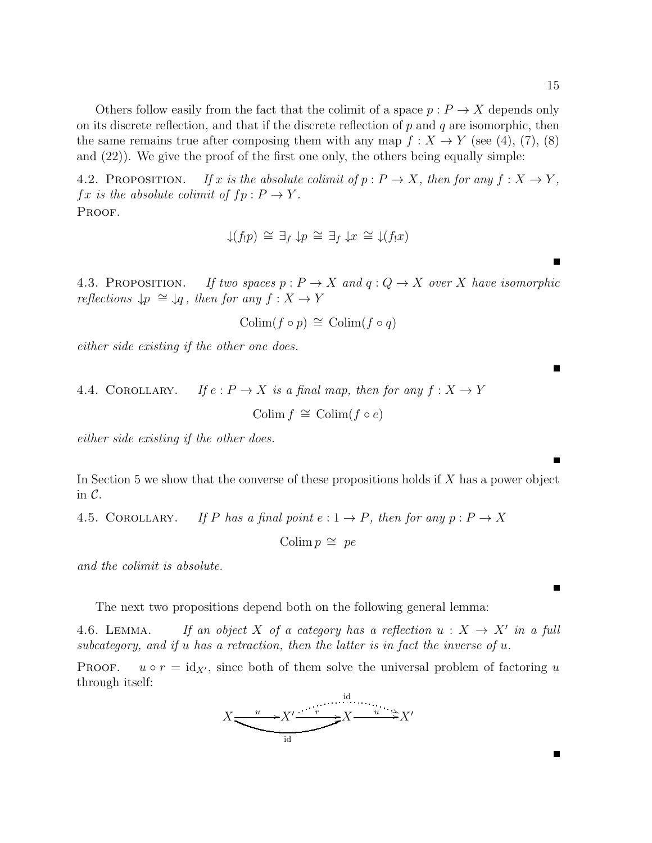Others follow easily from the fact that the colimit of a space  $p: P \to X$  depends only on its discrete reflection, and that if the discrete reflection of  $p$  and  $q$  are isomorphic, then the same remains true after composing them with any map  $f : X \to Y$  (see (4), (7), (8) and (22)). We give the proof of the first one only, the others being equally simple:

4.2. PROPOSITION. If x is the absolute colimit of  $p : P \to X$ , then for any  $f : X \to Y$ ,  $fx$  is the absolute colimit of  $fp: P \to Y$ . PROOF.

$$
\downarrow(f_!p) \cong \exists_f \downarrow p \cong \exists_f \downarrow x \cong \downarrow(f_!x)
$$

4.3. PROPOSITION. If two spaces  $p : P \to X$  and  $q : Q \to X$  over X have isomorphic reflections  $\downarrow p \cong \downarrow q$ , then for any  $f : X \to Y$ 

$$
\mathrm{Colim}(f \circ p) \,\cong\, \mathrm{Colim}(f \circ q)
$$

either side existing if the other one does.

4.4. COROLLARY. If 
$$
e: P \to X
$$
 is a final map, then for any  $f: X \to Y$   
Colim  $f \cong \text{Colim}(f \circ e)$ 

either side existing if the other does.

In Section 5 we show that the converse of these propositions holds if X has a power object in  $\mathcal{C}$ .

4.5. COROLLARY. If P has a final point  $e: 1 \rightarrow P$ , then for any  $p: P \rightarrow X$ 

Colim  $p \cong pe$ 

and the colimit is absolute.

The next two propositions depend both on the following general lemma:

4.6. LEMMA. If an object X of a category has a reflection  $u: X \to X'$  in a full subcategory, and if u has a retraction, then the latter is in fact the inverse of  $u$ .

PROOF.  $u \circ r = id_{X'}$ , since both of them solve the universal problem of factoring u through itself:

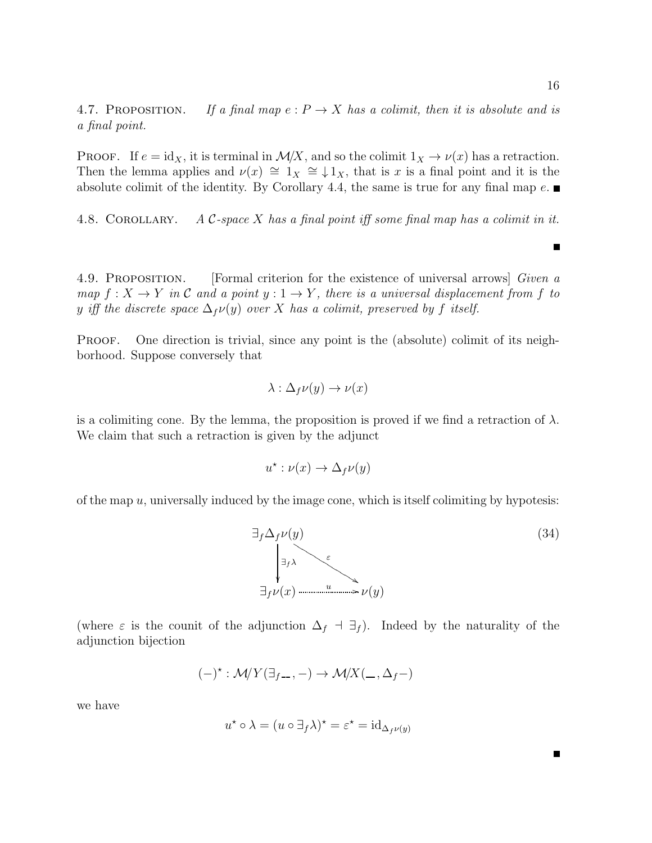4.7. PROPOSITION. If a final map  $e: P \to X$  has a colimit, then it is absolute and is a final point.

**PROOF.** If  $e = id_X$ , it is terminal in  $\mathcal{M}/X$ , and so the colimit  $1_X \to \nu(x)$  has a retraction. Then the lemma applies and  $\nu(x) \cong 1_X \cong \downarrow 1_X$ , that is x is a final point and it is the absolute colimit of the identity. By Corollary 4.4, the same is true for any final map  $e$ .

4.8. COROLLARY. A  $\mathcal{C}\text{-space }X$  has a final point iff some final map has a colimit in it.

4.9. Proposition. [Formal criterion for the existence of universal arrows] Given a map  $f: X \to Y$  in C and a point  $y: 1 \to Y$ , there is a universal displacement from f to y iff the discrete space  $\Delta_f\nu(y)$  over X has a colimit, preserved by f itself.

PROOF. One direction is trivial, since any point is the (absolute) colimit of its neighborhood. Suppose conversely that

$$
\lambda : \Delta_f \nu(y) \to \nu(x)
$$

is a colimiting cone. By the lemma, the proposition is proved if we find a retraction of  $\lambda$ . We claim that such a retraction is given by the adjunct

$$
u^* : \nu(x) \to \Delta_f \nu(y)
$$

of the map  $u$ , universally induced by the image cone, which is itself colimiting by hypotesis:



(where  $\varepsilon$  is the counit of the adjunction  $\Delta_f$  ⊣  $\exists_f$ ). Indeed by the naturality of the adjunction bijection

$$
(-)^{\star}:\mathcal{M}/Y(\exists_{f-},-)\to\mathcal{M}/X(\_,\Delta_f-)
$$

we have

$$
u^* \circ \lambda = (u \circ \exists_f \lambda)^* = \varepsilon^* = \mathrm{id}_{\Delta_f \nu(y)}
$$

Н

 $\blacksquare$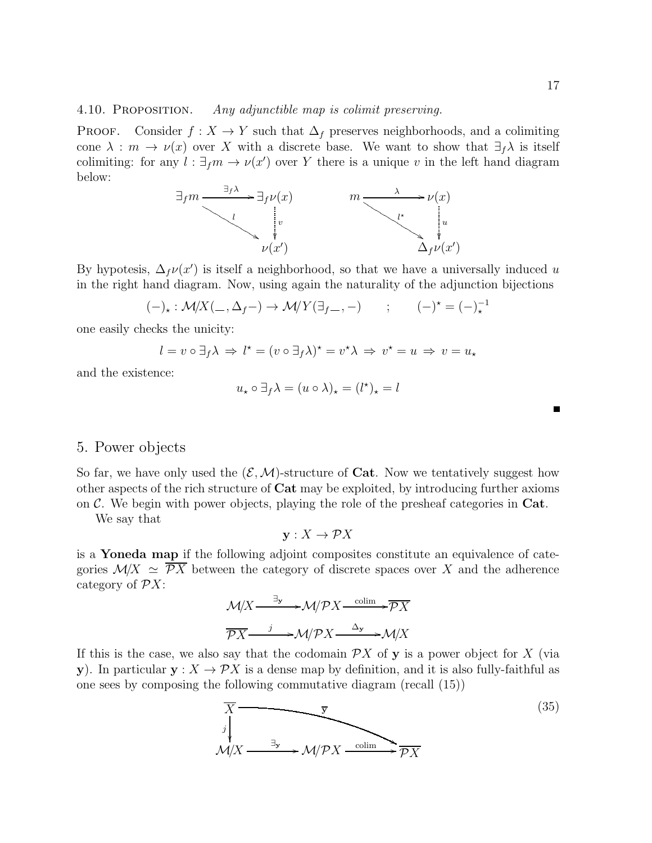4.10. PROPOSITION. Any adjunctible map is colimit preserving.

**PROOF.** Consider  $f : X \to Y$  such that  $\Delta_f$  preserves neighborhoods, and a colimiting cone  $\lambda : m \to \nu(x)$  over X with a discrete base. We want to show that  $\exists_f \lambda$  is itself colimiting: for any  $l : \exists_f m \to \nu(x')$  over Y there is a unique v in the left hand diagram below:



By hypotesis,  $\Delta_f v(x')$  is itself a neighborhood, so that we have a universally induced u in the right hand diagram. Now, using again the naturality of the adjunction bijections

$$
(-)_{\star}: \mathcal{M}/X(\underline{\hspace{1cm}}, \Delta_f -) \to \mathcal{M}/Y(\exists_{f-}, -) \qquad ; \qquad (-)^{\star} = (-)^{-1}_{\star}
$$

one easily checks the unicity:

$$
l = v \circ \exists_f \lambda \Rightarrow l^\star = (v \circ \exists_f \lambda)^\star = v^\star \lambda \Rightarrow v^\star = u \Rightarrow v = u_\star
$$

and the existence:

$$
u_{\star} \circ \exists_{f} \lambda = (u \circ \lambda)_{\star} = (l^{\star})_{\star} = l
$$

5. Power objects

So far, we have only used the  $(\mathcal{E}, \mathcal{M})$ -structure of **Cat**. Now we tentatively suggest how other aspects of the rich structure of Cat may be exploited, by introducing further axioms on  $\mathcal{C}$ . We begin with power objects, playing the role of the presheaf categories in  $Cat$ .

We say that

 $\mathbf{v}: X \to \mathcal{P}X$ 

is a Yoneda map if the following adjoint composites constitute an equivalence of categories  $\mathcal{M}/X \simeq \overline{\mathcal{P}X}$  between the category of discrete spaces over X and the adherence category of  $\mathcal{P}X$ :

$$
\mathcal{M}/X \xrightarrow{\exists y} \mathcal{M}/\mathcal{P}X \xrightarrow{\text{colim}} \mathcal{P}X
$$

$$
\overline{\mathcal{P}X} \xrightarrow{j} \mathcal{M}/\mathcal{P}X \xrightarrow{\Delta_y} \mathcal{M}/X
$$

If this is the case, we also say that the codomain  $\mathcal{P}X$  of y is a power object for X (via y). In particular  $y: X \to \mathcal{P}X$  is a dense map by definition, and it is also fully-faithful as one sees by composing the following commutative diagram (recall (15))

$$
\overline{X} \longrightarrow \overline{Y}
$$
\n
$$
\overline{X}
$$
\n
$$
\overline{X}
$$
\n
$$
\overline{Y}
$$
\n
$$
\overline{Y}
$$
\n
$$
\overline{Y}
$$
\n
$$
\overline{Y}
$$
\n
$$
\overline{Y}
$$
\n
$$
\overline{Y}
$$
\n
$$
\overline{Y}
$$
\n
$$
\overline{Y}
$$
\n
$$
\overline{Y}
$$
\n
$$
\overline{Y}
$$
\n
$$
(35)
$$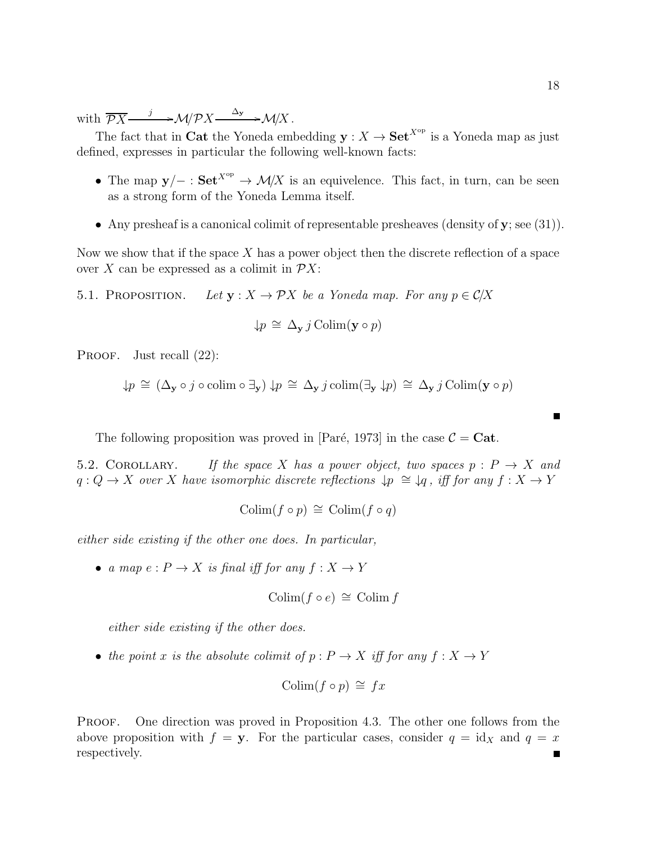with  $\overline{\mathcal{P}X} \xrightarrow{j} \mathcal{M}/\mathcal{P}X \xrightarrow{\Delta_y} \mathcal{M}/X$ .

The fact that in Cat the Yoneda embedding  $y: X \to \mathbf{Set}^{X^{op}}$  is a Yoneda map as just defined, expresses in particular the following well-known facts:

- The map  $y/$  : Set<sup>Xop</sup>  $\rightarrow$  M/X is an equivelence. This fact, in turn, can be seen as a strong form of the Yoneda Lemma itself.
- Any presheaf is a canonical colimit of representable presheaves (density of  $\mathbf{y}$ ; see (31)).

Now we show that if the space  $X$  has a power object then the discrete reflection of a space over X can be expressed as a colimit in  $\mathcal{P}X$ :

5.1. PROPOSITION. Let  $y : X \to \mathcal{P}X$  be a Yoneda map. For any  $p \in \mathcal{C}/X$ 

$$
\downarrow p \cong \Delta_{\mathbf{y}} j \operatorname{Colim}(\mathbf{y} \circ p)
$$

PROOF. Just recall  $(22)$ :

$$
\downarrow p \cong (\Delta_{\mathbf{y}} \circ j \circ \mathrm{colim} \circ \exists_{\mathbf{y}}) \downarrow p \cong \Delta_{\mathbf{y}} j \mathrm{colim}(\exists_{\mathbf{y}} \downarrow p) \cong \Delta_{\mathbf{y}} j \mathrm{Colim}(\mathbf{y} \circ p)
$$

The following proposition was proved in [Paré, 1973] in the case  $\mathcal{C} = \mathbf{Cat}$ .

5.2. COROLLARY. If the space X has a power object, two spaces  $p : P \to X$  and  $q: Q \to X$  over X have isomorphic discrete reflections  $\downarrow p \cong \downarrow q$ , iff for any  $f: X \to Y$ 

$$
Colim(f \circ p) \cong Colim(f \circ q)
$$

either side existing if the other one does. In particular,

• a map  $e: P \to X$  is final iff for any  $f: X \to Y$ 

$$
Colim(f \circ e) \cong Colim f
$$

either side existing if the other does.

• the point x is the absolute colimit of  $p : P \to X$  iff for any  $f : X \to Y$ 

$$
Colim(f \circ p) \cong fx
$$

PROOF. One direction was proved in Proposition 4.3. The other one follows from the above proposition with  $f = y$ . For the particular cases, consider  $q = id_X$  and  $q = x$ respectively. $\blacksquare$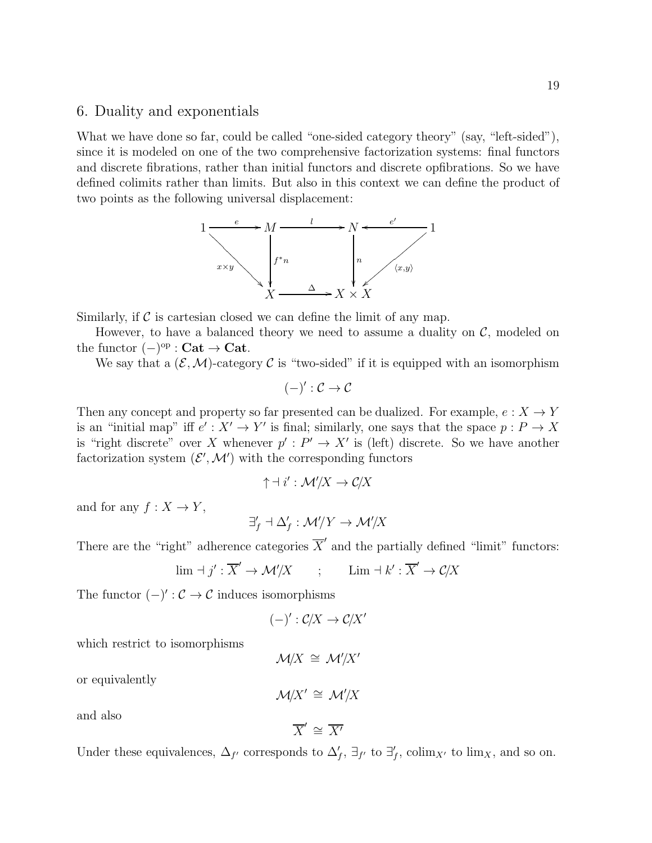### 6. Duality and exponentials

What we have done so far, could be called "one-sided category theory" (say, "left-sided"), since it is modeled on one of the two comprehensive factorization systems: final functors and discrete fibrations, rather than initial functors and discrete opfibrations. So we have defined colimits rather than limits. But also in this context we can define the product of two points as the following universal displacement:



Similarly, if  $\mathcal C$  is cartesian closed we can define the limit of any map.

However, to have a balanced theory we need to assume a duality on  $\mathcal{C}$ , modeled on the functor  $(-)^\text{op} : \mathbf{Cat} \to \mathbf{Cat}.$ 

We say that a  $(\mathcal{E}, \mathcal{M})$ -category C is "two-sided" if it is equipped with an isomorphism

$$
(-)':\mathcal{C}\to\mathcal{C}
$$

Then any concept and property so far presented can be dualized. For example,  $e: X \to Y$ is an "initial map" iff  $e' : X' \to Y'$  is final; similarly, one says that the space  $p : P \to X$ is "right discrete" over X whenever  $p': P' \to X'$  is (left) discrete. So we have another factorization system  $(\mathcal{E}', \mathcal{M}')$  with the corresponding functors

$$
\uparrow \,\dashv\, i' : \mathcal{M}'/X \to \mathcal{C}/X
$$

and for any  $f: X \to Y$ ,

$$
\exists'_f \; \exists \; \Delta'_f : \mathcal{M}'/Y \to \mathcal{M}'/X
$$

There are the "right" adherence categories  $\overline{X}'$  and the partially defined "limit" functors:

$$
\lim \, \exists \, j' : \overline{X}' \to \mathcal{M}'/X \qquad ; \qquad \lim \, \exists \, k' : \overline{X}' \to \mathcal{C}/X
$$

The functor  $(-)' : \mathcal{C} \to \mathcal{C}$  induces isomorphisms

$$
(-)' : \mathcal{C}/X \to \mathcal{C}/X'
$$

which restrict to isomorphisms

$$
\mathcal{M}/X \cong \mathcal{M}'/X'
$$

or equivalently

$$
\mathcal{M}/X' \cong \mathcal{M}'/X
$$

and also

$$
\overline{X}' \cong \overline{X'}
$$

Under these equivalences,  $\Delta_{f'}$  corresponds to  $\Delta'_{f}$ ,  $\exists_{f'}$  to  $\exists'_{f}$ , colim<sub>X'</sub> to lim<sub>X</sub>, and so on.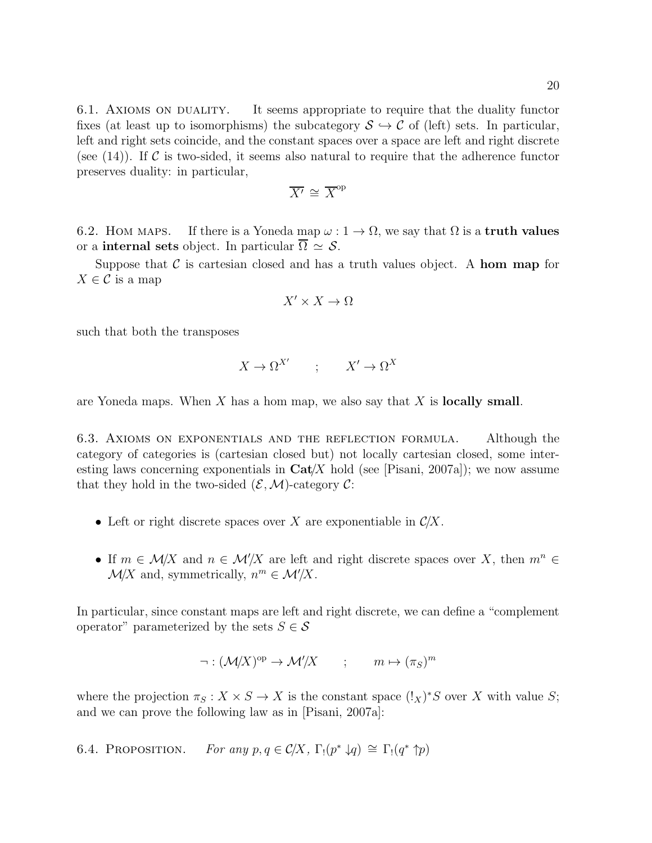6.1. Axioms on duality. It seems appropriate to require that the duality functor fixes (at least up to isomorphisms) the subcategory  $S \hookrightarrow \mathcal{C}$  of (left) sets. In particular, left and right sets coincide, and the constant spaces over a space are left and right discrete (see  $(14)$ ). If C is two-sided, it seems also natural to require that the adherence functor preserves duality: in particular,

$$
\overline{X'} \cong \overline{X}^{\text{op}}
$$

6.2. Hom maps. If there is a Yoneda map  $\omega : 1 \to \Omega$ , we say that  $\Omega$  is a **truth values** or a **internal sets** object. In particular  $\Omega \simeq \mathcal{S}$ .

Suppose that C is cartesian closed and has a truth values object. A hom map for  $X \in \mathcal{C}$  is a map

$$
X' \times X \to \Omega
$$

such that both the transposes

$$
X\to \Omega^{X'} \qquad;\qquad X'\to \Omega^X
$$

are Yoneda maps. When  $X$  has a hom map, we also say that  $X$  is **locally small**.

6.3. Axioms on exponentials and the reflection formula. Although the category of categories is (cartesian closed but) not locally cartesian closed, some interesting laws concerning exponentials in  $\text{Cat}/X$  hold (see [Pisani, 2007a]); we now assume that they hold in the two-sided  $(\mathcal{E}, \mathcal{M})$ -category  $\mathcal{C}$ :

- Left or right discrete spaces over X are exponentiable in  $\mathcal{C}/X$ .
- If  $m \in \mathcal{M}/X$  and  $n \in \mathcal{M}'/X$  are left and right discrete spaces over X, then  $m^n \in \mathcal{M}'/X$  $\mathcal{M}/X$  and, symmetrically,  $n^m \in \mathcal{M}'/X$ .

In particular, since constant maps are left and right discrete, we can define a "complement operator" parameterized by the sets  $S \in \mathcal{S}$ 

$$
\neg : (\mathcal{M}/X)^{op} \to \mathcal{M}'/X \qquad ; \qquad m \mapsto (\pi_S)^m
$$

where the projection  $\pi_S : X \times S \to X$  is the constant space  $(!_X)^*S$  over X with value S; and we can prove the following law as in [Pisani, 2007a]:

6.4. PROPOSITION. For any  $p, q \in C/X$ ,  $\Gamma_!(p^* \downarrow q) \cong \Gamma_!(q^* \uparrow p)$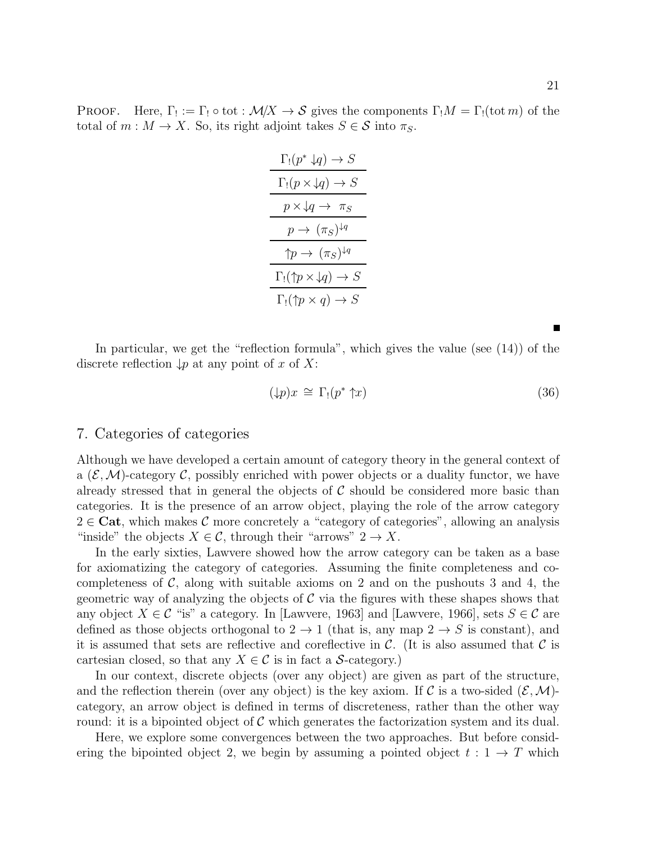PROOF. Here,  $\Gamma_! := \Gamma_! \circ \text{tot} : \mathcal{M}/X \to \mathcal{S}$  gives the components  $\Gamma_! M = \Gamma_! (\text{tot } m)$  of the total of  $m : M \to X$ . So, its right adjoint takes  $S \in \mathcal{S}$  into  $\pi_S$ .

| $\Gamma_!(p^*\downarrow q)\to S$                         |  |
|----------------------------------------------------------|--|
| $\Gamma_!(p \times \downarrow q) \to S$                  |  |
| $p \times \downarrow q \rightarrow \pi_S$                |  |
| $p \rightarrow (\pi_S)^{\downarrow q}$                   |  |
| $\uparrow p \rightarrow (\pi_S)^{\downarrow q}$          |  |
| $\Gamma_!(\uparrow p \times \downarrow q) \rightarrow S$ |  |
| $\Gamma_!(\uparrow p \times q) \to S$                    |  |

In particular, we get the "reflection formula", which gives the value (see (14)) of the discrete reflection  $\downarrow p$  at any point of x of X:

$$
(\downarrow p)x \cong \Gamma_!(p^*\uparrow x) \tag{36}
$$

## 7. Categories of categories

Although we have developed a certain amount of category theory in the general context of a  $(\mathcal{E},\mathcal{M})$ -category C, possibly enriched with power objects or a duality functor, we have already stressed that in general the objects of  $\mathcal C$  should be considered more basic than categories. It is the presence of an arrow object, playing the role of the arrow category  $2 \in \mathbf{Cat}$ , which makes C more concretely a "category of categories", allowing an analysis "inside" the objects  $X \in \mathcal{C}$ , through their "arrows"  $2 \to X$ .

In the early sixties, Lawvere showed how the arrow category can be taken as a base for axiomatizing the category of categories. Assuming the finite completeness and cocompleteness of  $\mathcal{C}$ , along with suitable axioms on 2 and on the pushouts 3 and 4, the geometric way of analyzing the objects of  $\mathcal C$  via the figures with these shapes shows that any object  $X \in \mathcal{C}$  "is" a category. In [Lawvere, 1963] and [Lawvere, 1966], sets  $S \in \mathcal{C}$  are defined as those objects orthogonal to  $2 \rightarrow 1$  (that is, any map  $2 \rightarrow S$  is constant), and it is assumed that sets are reflective and coreflective in  $\mathcal{C}$ . (It is also assumed that  $\mathcal{C}$  is cartesian closed, so that any  $X \in \mathcal{C}$  is in fact a S-category.)

In our context, discrete objects (over any object) are given as part of the structure, and the reflection therein (over any object) is the key axiom. If C is a two-sided  $(\mathcal{E},\mathcal{M})$ category, an arrow object is defined in terms of discreteness, rather than the other way round: it is a bipointed object of  $\mathcal C$  which generates the factorization system and its dual.

Here, we explore some convergences between the two approaches. But before considering the bipointed object 2, we begin by assuming a pointed object  $t: 1 \rightarrow T$  which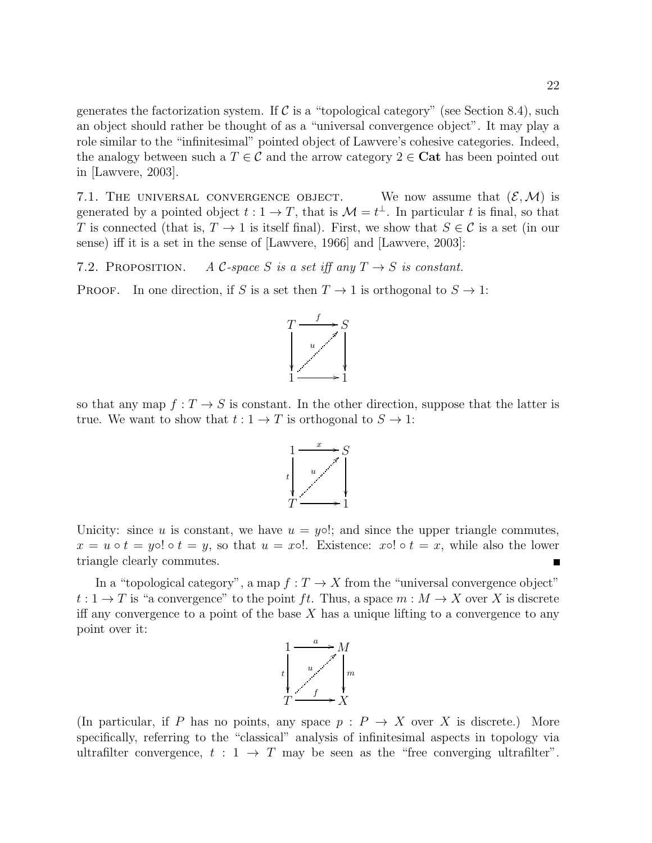generates the factorization system. If  $\mathcal C$  is a "topological category" (see Section 8.4), such an object should rather be thought of as a "universal convergence object". It may play a role similar to the "infinitesimal" pointed object of Lawvere's cohesive categories. Indeed, the analogy between such a  $T \in \mathcal{C}$  and the arrow category  $2 \in \mathbf{Cat}$  has been pointed out in [Lawvere, 2003].

7.1. THE UNIVERSAL CONVERGENCE OBJECT. We now assume that  $(\mathcal{E}, \mathcal{M})$  is generated by a pointed object  $t: 1 \to T$ , that is  $\mathcal{M} = t^{\perp}$ . In particular t is final, so that T is connected (that is,  $T \to 1$  is itself final). First, we show that  $S \in \mathcal{C}$  is a set (in our sense) iff it is a set in the sense of [Lawvere, 1966] and [Lawvere, 2003]:

7.2. PROPOSITION. A C-space S is a set iff any  $T \rightarrow S$  is constant.

PROOF. In one direction, if S is a set then  $T \to 1$  is orthogonal to  $S \to 1$ :



so that any map  $f: T \to S$  is constant. In the other direction, suppose that the latter is true. We want to show that  $t: 1 \to T$  is orthogonal to  $S \to 1$ :



Unicity: since u is constant, we have  $u = y \circ !$ ; and since the upper triangle commutes,  $x = u \circ t = y \circ t = y$ , so that  $u = x \circ t$ . Existence:  $x \circ t = x$ , while also the lower triangle clearly commutes. Ē

In a "topological category", a map  $f: T \to X$  from the "universal convergence object"  $t: 1 \to T$  is "a convergence" to the point ft. Thus, a space  $m: M \to X$  over X is discrete iff any convergence to a point of the base  $X$  has a unique lifting to a convergence to any point over it:



(In particular, if P has no points, any space  $p : P \to X$  over X is discrete.) More specifically, referring to the "classical" analysis of infinitesimal aspects in topology via ultrafilter convergence,  $t : 1 \rightarrow T$  may be seen as the "free converging ultrafilter".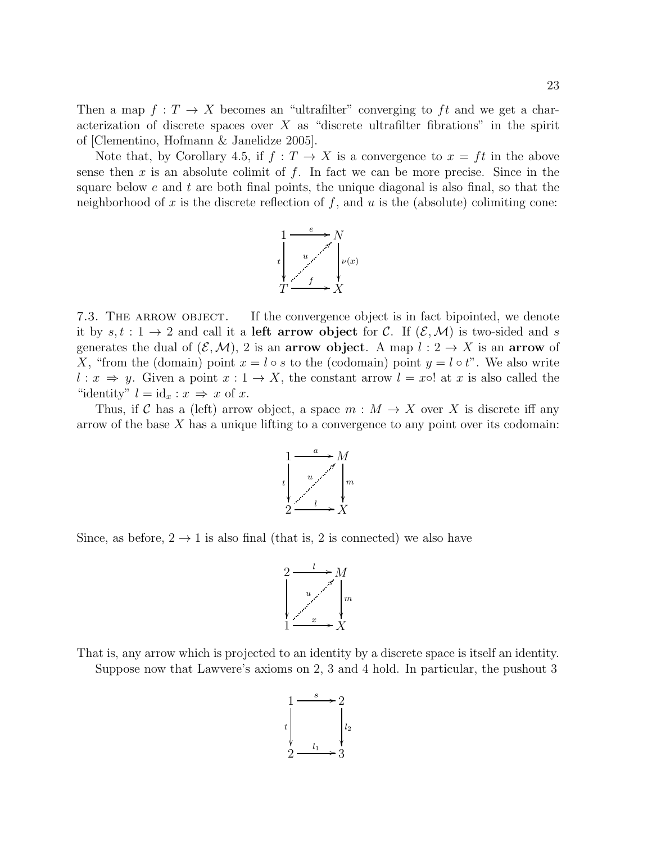Then a map  $f: T \to X$  becomes an "ultrafilter" converging to ft and we get a characterization of discrete spaces over  $X$  as "discrete ultrafilter fibrations" in the spirit of [Clementino, Hofmann & Janelidze 2005].

Note that, by Corollary 4.5, if  $f: T \to X$  is a convergence to  $x = ft$  in the above sense then x is an absolute colimit of  $f$ . In fact we can be more precise. Since in the square below  $e$  and  $t$  are both final points, the unique diagonal is also final, so that the neighborhood of x is the discrete reflection of  $f$ , and  $u$  is the (absolute) colimiting cone:



7.3. THE ARROW OBJECT. If the convergence object is in fact bipointed, we denote it by  $s, t : 1 \to 2$  and call it a **left arrow object** for C. If  $(\mathcal{E}, \mathcal{M})$  is two-sided and s generates the dual of  $(\mathcal{E}, \mathcal{M})$ , 2 is an **arrow object**. A map  $l: 2 \to X$  is an **arrow** of X, "from the (domain) point  $x = l \circ s$  to the (codomain) point  $y = l \circ t$ ". We also write  $l: x \Rightarrow y$ . Given a point  $x: 1 \rightarrow X$ , the constant arrow  $l = x \circ !$  at x is also called the "identity"  $l = id_x : x \Rightarrow x$  of x.

Thus, if C has a (left) arrow object, a space  $m : M \to X$  over X is discrete iff any arrow of the base  $X$  has a unique lifting to a convergence to any point over its codomain:



Since, as before,  $2 \rightarrow 1$  is also final (that is, 2 is connected) we also have



That is, any arrow which is projected to an identity by a discrete space is itself an identity. Suppose now that Lawvere's axioms on 2, 3 and 4 hold. In particular, the pushout 3

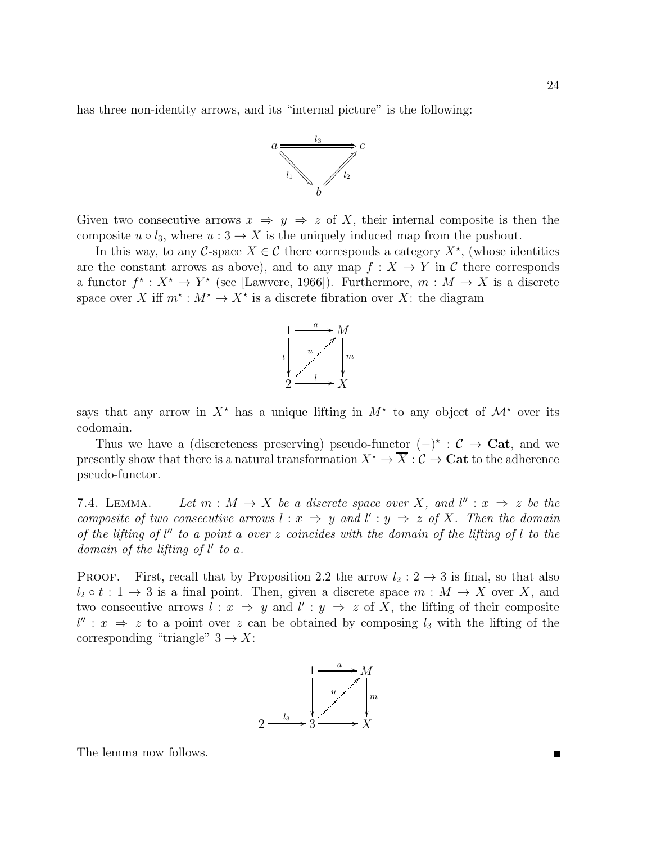has three non-identity arrows, and its "internal picture" is the following:



Given two consecutive arrows  $x \Rightarrow y \Rightarrow z$  of X, their internal composite is then the composite  $u \circ l_3$ , where  $u : 3 \to X$  is the uniquely induced map from the pushout.

In this way, to any C-space  $X \in \mathcal{C}$  there corresponds a category  $X^*$ , (whose identities are the constant arrows as above), and to any map  $f: X \to Y$  in C there corresponds a functor  $f^*: X^* \to Y^*$  (see [Lawvere, 1966]). Furthermore,  $m: M \to X$  is a discrete space over X iff  $m^* : M^* \to X^*$  is a discrete fibration over X: the diagram



says that any arrow in  $X^*$  has a unique lifting in  $M^*$  to any object of  $\mathcal{M}^*$  over its codomain.

Thus we have a (discreteness preserving) pseudo-functor  $(-)^*$  :  $C \rightarrow \text{Cat}$ , and we presently show that there is a natural transformation  $X^* \to \overline{X} : \mathcal{C} \to \mathbf{Cat}$  to the adherence pseudo-functor.

7.4. LEMMA. Let  $m : M \to X$  be a discrete space over X, and  $l'': x \Rightarrow z$  be the composite of two consecutive arrows  $l : x \Rightarrow y$  and  $l' : y \Rightarrow z$  of X. Then the domain of the lifting of  $l''$  to a point a over z coincides with the domain of the lifting of  $l$  to the domain of the lifting of  $l'$  to a.

**PROOF.** First, recall that by Proposition 2.2 the arrow  $l_2: 2 \rightarrow 3$  is final, so that also  $l_2 \circ t : 1 \to 3$  is a final point. Then, given a discrete space  $m : M \to X$  over X, and two consecutive arrows  $l : x \Rightarrow y$  and  $l' : y \Rightarrow z$  of X, the lifting of their composite  $l'' : x \Rightarrow z$  to a point over z can be obtained by composing  $l_3$  with the lifting of the corresponding "triangle"  $3 \rightarrow X$ :



The lemma now follows.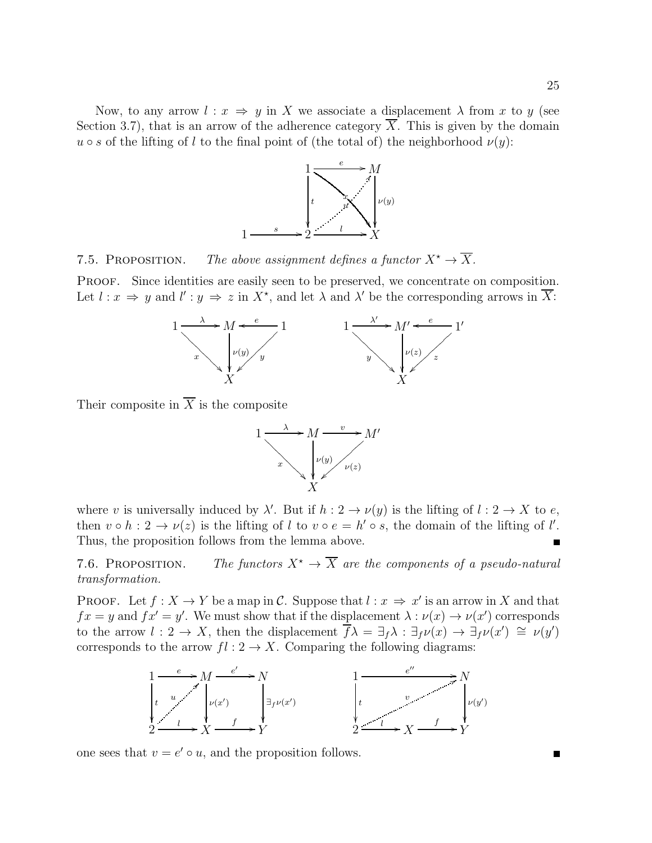Now, to any arrow  $l : x \Rightarrow y$  in X we associate a displacement  $\lambda$  from x to y (see Section 3.7), that is an arrow of the adherence category  $\overline{X}$ . This is given by the domain  $u \circ s$  of the lifting of l to the final point of (the total of) the neighborhood  $\nu(y)$ :



7.5. PROPOSITION. The above assignment defines a functor  $X^* \to \overline{X}$ .

PROOF. Since identities are easily seen to be preserved, we concentrate on composition. Let  $l : x \Rightarrow y$  and  $l' : y \Rightarrow z$  in  $X^*$ , and let  $\lambda$  and  $\lambda'$  be the corresponding arrows in  $\overline{X}$ :



Their composite in  $\overline{X}$  is the composite



where v is universally induced by  $\lambda'$ . But if  $h: 2 \to \nu(y)$  is the lifting of  $l: 2 \to X$  to e, then  $v \circ h : 2 \to \nu(z)$  is the lifting of l to  $v \circ e = h' \circ s$ , the domain of the lifting of l'. Thus, the proposition follows from the lemma above. П

7.6. PROPOSITION. The functors  $X^* \to \overline{X}$  are the components of a pseudo-natural transformation.

**PROOF.** Let  $f: X \to Y$  be a map in C. Suppose that  $l: x \Rightarrow x'$  is an arrow in X and that  $fx = y$  and  $fx' = y'$ . We must show that if the displacement  $\lambda : \nu(x) \to \nu(x')$  corresponds to the arrow  $l: 2 \to X$ , then the displacement  $\overline{f}\lambda = \exists_f \lambda : \exists_f \nu(x) \to \exists_f \nu(x') \cong \nu(y')$ corresponds to the arrow  $fl: 2 \to X$ . Comparing the following diagrams:



one sees that  $v = e' \circ u$ , and the proposition follows.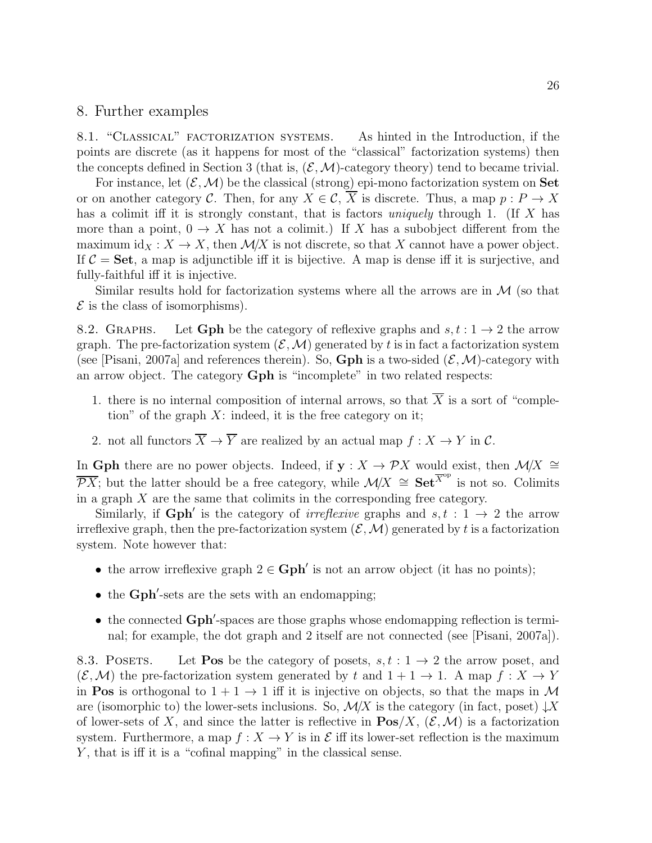## 8. Further examples

8.1. "Classical" factorization systems. As hinted in the Introduction, if the points are discrete (as it happens for most of the "classical" factorization systems) then the concepts defined in Section 3 (that is,  $(\mathcal{E}, \mathcal{M})$ -category theory) tend to became trivial.

For instance, let  $(\mathcal{E},\mathcal{M})$  be the classical (strong) epi-mono factorization system on Set or on another category C. Then, for any  $X \in \mathcal{C}$ , X is discrete. Thus, a map  $p : P \to X$ has a colimit iff it is strongly constant, that is factors *uniquely* through 1. (If X has more than a point,  $0 \to X$  has not a colimit.) If X has a subobject different from the maximum id $_X: X \to X$ , then  $\mathcal{M}/X$  is not discrete, so that X cannot have a power object. If  $\mathcal{C} = \mathbf{Set}$ , a map is adjunctible iff it is bijective. A map is dense iff it is surjective, and fully-faithful iff it is injective.

Similar results hold for factorization systems where all the arrows are in  $\mathcal M$  (so that  $\mathcal E$  is the class of isomorphisms).

8.2. GRAPHS. Let Gph be the category of reflexive graphs and  $s, t : 1 \rightarrow 2$  the arrow graph. The pre-factorization system  $(\mathcal{E},\mathcal{M})$  generated by t is in fact a factorization system (see [Pisani, 2007a] and references therein). So, Gph is a two-sided  $(\mathcal{E}, \mathcal{M})$ -category with an arrow object. The category Gph is "incomplete" in two related respects:

- 1. there is no internal composition of internal arrows, so that  $\overline{X}$  is a sort of "completion" of the graph  $X$ : indeed, it is the free category on it;
- 2. not all functors  $\overline{X} \to \overline{Y}$  are realized by an actual map  $f : X \to Y$  in C.

In Gph there are no power objects. Indeed, if  $y : X \to \mathcal{P}X$  would exist, then  $\mathcal{M}/X \cong$  $\overline{\mathcal{P}X}$ ; but the latter should be a free category, while  $\mathcal{M}/X \cong \mathbf{Set}^{\overline{X}^{\mathrm{op}}}$  is not so. Colimits in a graph  $X$  are the same that colimits in the corresponding free category.

Similarly, if  $Gph'$  is the category of *irreflexive* graphs and  $s, t : 1 \rightarrow 2$  the arrow irreflexive graph, then the pre-factorization system  $(\mathcal{E}, \mathcal{M})$  generated by t is a factorization system. Note however that:

- the arrow irreflexive graph  $2 \in \mathbf{Gph}'$  is not an arrow object (it has no points);
- the Gph'-sets are the sets with an endomapping;
- the connected Gph'-spaces are those graphs whose endomapping reflection is terminal; for example, the dot graph and 2 itself are not connected (see [Pisani, 2007a]).

8.3. POSETS. Let **Pos** be the category of posets,  $s, t : 1 \rightarrow 2$  the arrow poset, and  $(\mathcal{E}, \mathcal{M})$  the pre-factorization system generated by t and  $1+1 \rightarrow 1$ . A map  $f : X \rightarrow Y$ in **Pos** is orthogonal to  $1 + 1 \rightarrow 1$  iff it is injective on objects, so that the maps in M are (isomorphic to) the lower-sets inclusions. So,  $\mathcal{M}/X$  is the category (in fact, poset)  $\downarrow$ X of lower-sets of X, and since the latter is reflective in  $\text{Pos}/X$ ,  $(\mathcal{E}, \mathcal{M})$  is a factorization system. Furthermore, a map  $f: X \to Y$  is in  $\mathcal E$  iff its lower-set reflection is the maximum Y, that is iff it is a "cofinal mapping" in the classical sense.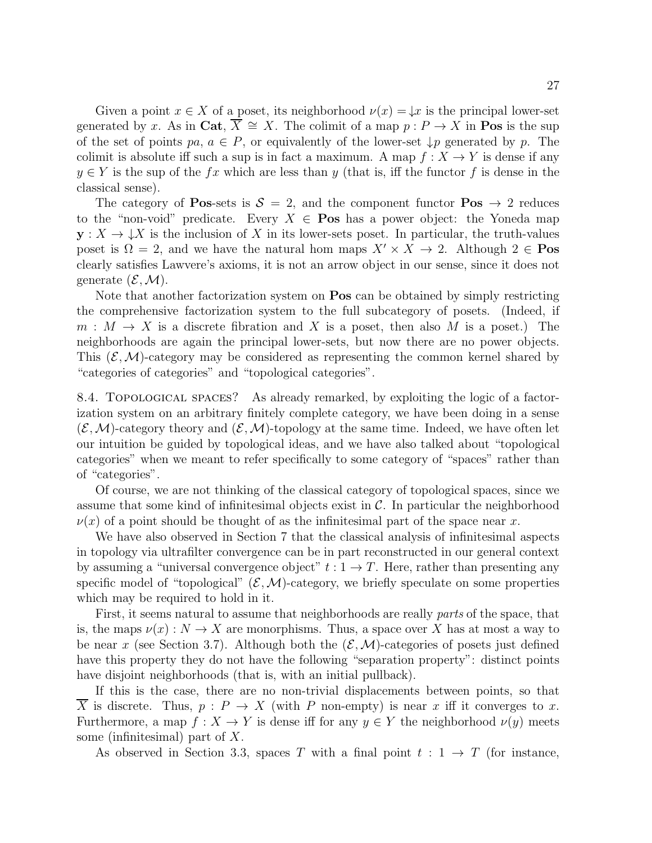Given a point  $x \in X$  of a poset, its neighborhood  $\nu(x) = \downarrow x$  is the principal lower-set generated by x. As in Cat,  $\overline{X} \cong X$ . The colimit of a map  $p : P \to X$  in Pos is the sup of the set of points  $pa, a \in P$ , or equivalently of the lower-set  $\downarrow p$  generated by p. The colimit is absolute iff such a sup is in fact a maximum. A map  $f: X \to Y$  is dense if any  $y \in Y$  is the sup of the fx which are less than y (that is, iff the functor f is dense in the classical sense).

The category of **Pos-sets is**  $S = 2$ **, and the component functor Pos**  $\rightarrow$  2 reduces to the "non-void" predicate. Every  $X \in \mathbf{Pos}$  has a power object: the Yoneda map  $y: X \to \downarrow X$  is the inclusion of X in its lower-sets poset. In particular, the truth-values poset is  $\Omega = 2$ , and we have the natural hom maps  $X' \times X \to 2$ . Although  $2 \in \textbf{Pos}$ clearly satisfies Lawvere's axioms, it is not an arrow object in our sense, since it does not generate  $(\mathcal{E}, \mathcal{M})$ .

Note that another factorization system on **Pos** can be obtained by simply restricting the comprehensive factorization system to the full subcategory of posets. (Indeed, if  $m : M \to X$  is a discrete fibration and X is a poset, then also M is a poset.) The neighborhoods are again the principal lower-sets, but now there are no power objects. This  $(\mathcal{E}, \mathcal{M})$ -category may be considered as representing the common kernel shared by "categories of categories" and "topological categories".

8.4. Topological spaces? As already remarked, by exploiting the logic of a factorization system on an arbitrary finitely complete category, we have been doing in a sense  $(\mathcal{E},\mathcal{M})$ -category theory and  $(\mathcal{E},\mathcal{M})$ -topology at the same time. Indeed, we have often let our intuition be guided by topological ideas, and we have also talked about "topological categories" when we meant to refer specifically to some category of "spaces" rather than of "categories".

Of course, we are not thinking of the classical category of topological spaces, since we assume that some kind of infinitesimal objects exist in  $\mathcal{C}$ . In particular the neighborhood  $\nu(x)$  of a point should be thought of as the infinitesimal part of the space near x.

We have also observed in Section 7 that the classical analysis of infinitesimal aspects in topology via ultrafilter convergence can be in part reconstructed in our general context by assuming a "universal convergence object"  $t: 1 \rightarrow T$ . Here, rather than presenting any specific model of "topological"  $(\mathcal{E}, \mathcal{M})$ -category, we briefly speculate on some properties which may be required to hold in it.

First, it seems natural to assume that neighborhoods are really parts of the space, that is, the maps  $\nu(x): N \to X$  are monorphisms. Thus, a space over X has at most a way to be near x (see Section 3.7). Although both the  $(\mathcal{E},\mathcal{M})$ -categories of posets just defined have this property they do not have the following "separation property": distinct points have disjoint neighborhoods (that is, with an initial pullback).

If this is the case, there are no non-trivial displacements between points, so that X is discrete. Thus,  $p : P \to X$  (with P non-empty) is near x iff it converges to x. Furthermore, a map  $f: X \to Y$  is dense iff for any  $y \in Y$  the neighborhood  $\nu(y)$  meets some (infinitesimal) part of  $X$ .

As observed in Section 3.3, spaces T with a final point  $t : 1 \rightarrow T$  (for instance,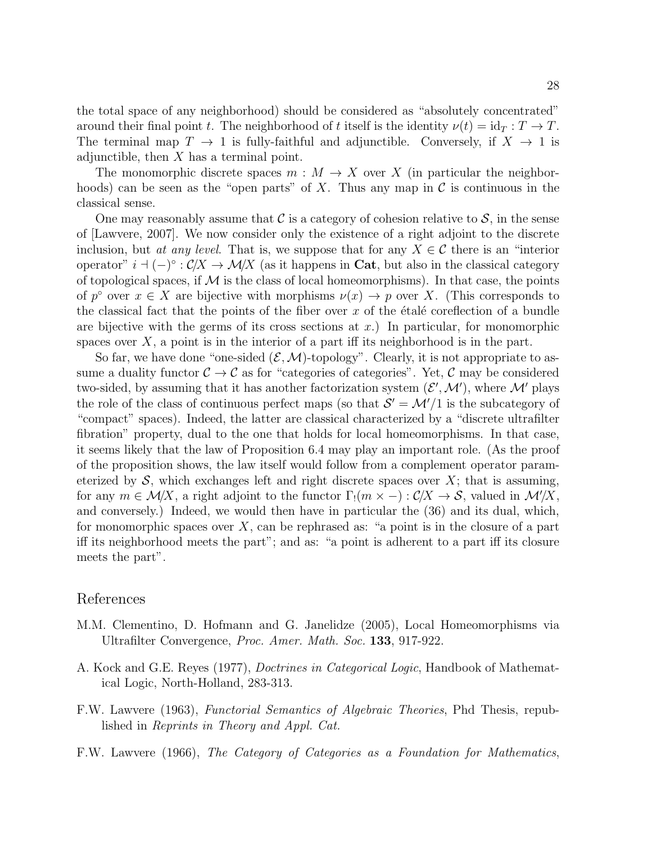the total space of any neighborhood) should be considered as "absolutely concentrated" around their final point t. The neighborhood of t itself is the identity  $\nu(t) = id_T : T \to T$ . The terminal map  $T \to 1$  is fully-faithful and adjunctible. Conversely, if  $X \to 1$  is adjunctible, then  $X$  has a terminal point.

The monomorphic discrete spaces  $m : M \to X$  over X (in particular the neighborhoods) can be seen as the "open parts" of X. Thus any map in  $\mathcal C$  is continuous in the classical sense.

One may reasonably assume that C is a category of cohesion relative to  $S$ , in the sense of [Lawvere, 2007]. We now consider only the existence of a right adjoint to the discrete inclusion, but at any level. That is, we suppose that for any  $X \in \mathcal{C}$  there is an "interior operator"  $i \dashv (-)^\circ : C/X \to \mathcal{M}/X$  (as it happens in Cat, but also in the classical category of topological spaces, if  $M$  is the class of local homeomorphisms). In that case, the points of  $p^{\circ}$  over  $x \in X$  are bijective with morphisms  $\nu(x) \to p$  over X. (This corresponds to the classical fact that the points of the fiber over  $x$  of the etale coreflection of a bundle are bijective with the germs of its cross sections at  $x$ .) In particular, for monomorphic spaces over  $X$ , a point is in the interior of a part iff its neighborhood is in the part.

So far, we have done "one-sided  $(\mathcal{E}, \mathcal{M})$ -topology". Clearly, it is not appropriate to assume a duality functor  $C \to C$  as for "categories of categories". Yet, C may be considered two-sided, by assuming that it has another factorization system  $(\mathcal{E}', \mathcal{M}')$ , where  $\mathcal{M}'$  plays the role of the class of continuous perfect maps (so that  $S' = \mathcal{M}'/1$  is the subcategory of "compact" spaces). Indeed, the latter are classical characterized by a "discrete ultrafilter fibration" property, dual to the one that holds for local homeomorphisms. In that case, it seems likely that the law of Proposition 6.4 may play an important role. (As the proof of the proposition shows, the law itself would follow from a complement operator parameterized by  $S$ , which exchanges left and right discrete spaces over  $X$ ; that is assuming, for any  $m \in \mathcal{M}/X$ , a right adjoint to the functor  $\Gamma_1(m \times -): C/X \to \mathcal{S}$ , valued in  $\mathcal{M}/X$ , and conversely.) Indeed, we would then have in particular the (36) and its dual, which, for monomorphic spaces over  $X$ , can be rephrased as: "a point is in the closure of a part iff its neighborhood meets the part"; and as: "a point is adherent to a part iff its closure meets the part".

### References

- M.M. Clementino, D. Hofmann and G. Janelidze (2005), Local Homeomorphisms via Ultrafilter Convergence, Proc. Amer. Math. Soc. 133, 917-922.
- A. Kock and G.E. Reyes (1977), Doctrines in Categorical Logic, Handbook of Mathematical Logic, North-Holland, 283-313.
- F.W. Lawvere (1963), Functorial Semantics of Algebraic Theories, Phd Thesis, republished in Reprints in Theory and Appl. Cat.
- F.W. Lawvere (1966), The Category of Categories as a Foundation for Mathematics,